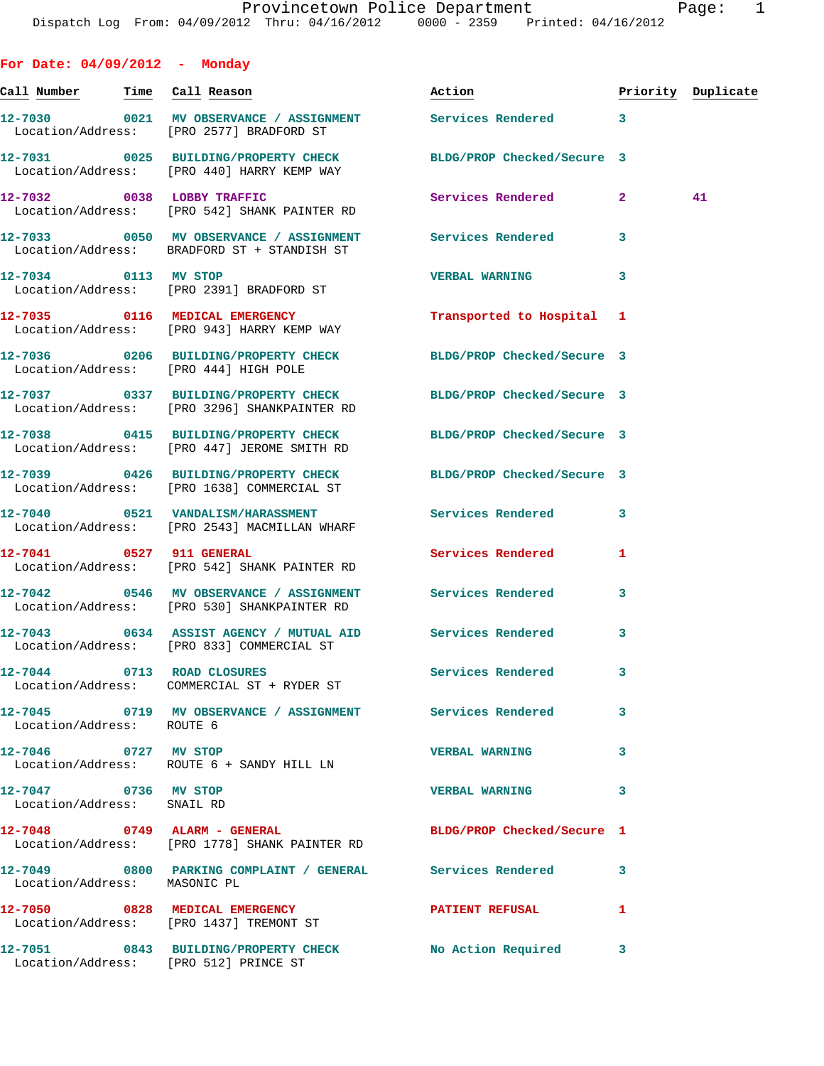**For Date: 04/09/2012 - Monday Call Number Time Call Reason Action Priority Duplicate 12-7030 0021 MV OBSERVANCE / ASSIGNMENT Services Rendered 3**  Location/Address: [PRO 2577] BRADFORD ST **12-7031 0025 BUILDING/PROPERTY CHECK BLDG/PROP Checked/Secure 3**  Location/Address: [PRO 440] HARRY KEMP WAY **12-7032 0038 LOBBY TRAFFIC Services Rendered 2 41**  Location/Address: [PRO 542] SHANK PAINTER RD **12-7033 0050 MV OBSERVANCE / ASSIGNMENT Services Rendered 3**  Location/Address: BRADFORD ST + STANDISH ST **12-7034 0113 MV STOP VERBAL WARNING 3**  Location/Address: [PRO 2391] BRADFORD ST **12-7035 0116 MEDICAL EMERGENCY Transported to Hospital 1**  Location/Address: [PRO 943] HARRY KEMP WAY **12-7036 0206 BUILDING/PROPERTY CHECK BLDG/PROP Checked/Secure 3**  Location/Address: [PRO 444] HIGH POLE **12-7037 0337 BUILDING/PROPERTY CHECK BLDG/PROP Checked/Secure 3**  Location/Address: [PRO 3296] SHANKPAINTER RD **12-7038 0415 BUILDING/PROPERTY CHECK BLDG/PROP Checked/Secure 3**  Location/Address: [PRO 447] JEROME SMITH RD **12-7039 0426 BUILDING/PROPERTY CHECK BLDG/PROP Checked/Secure 3**  Location/Address: [PRO 1638] COMMERCIAL ST **12-7040 0521 VANDALISM/HARASSMENT Services Rendered 3**  Location/Address: [PRO 2543] MACMILLAN WHARF **12-7041 0527 911 GENERAL Services Rendered 1**  Location/Address: [PRO 542] SHANK PAINTER RD **12-7042 0546 MV OBSERVANCE / ASSIGNMENT Services Rendered 3**  Location/Address: [PRO 530] SHANKPAINTER RD **12-7043 0634 ASSIST AGENCY / MUTUAL AID Services Rendered 3**  Location/Address: [PRO 833] COMMERCIAL ST **12-7044 0713 ROAD CLOSURES Services Rendered 3**  Location/Address: COMMERCIAL ST + RYDER ST **12-7045 0719 MV OBSERVANCE / ASSIGNMENT Services Rendered 3**  Location/Address: ROUTE 6 **12-7046 0727 MV STOP VERBAL WARNING 3**  Location/Address: ROUTE 6 + SANDY HILL LN **12-7047 0736 MV STOP VERBAL WARNING 3**  Location/Address: SNAIL RD **12-7048 0749 ALARM - GENERAL BLDG/PROP Checked/Secure 1**  Location/Address: [PRO 1778] SHANK PAINTER RD

**12-7049 0800 PARKING COMPLAINT / GENERAL Services Rendered 3**  Location/Address: MASONIC PL **12-7050 0828 MEDICAL EMERGENCY PATIENT REFUSAL 1**  Location/Address: [PRO 1437] TREMONT ST **12-7051 0843 BUILDING/PROPERTY CHECK No Action Required 3**  Location/Address: [PRO 512] PRINCE ST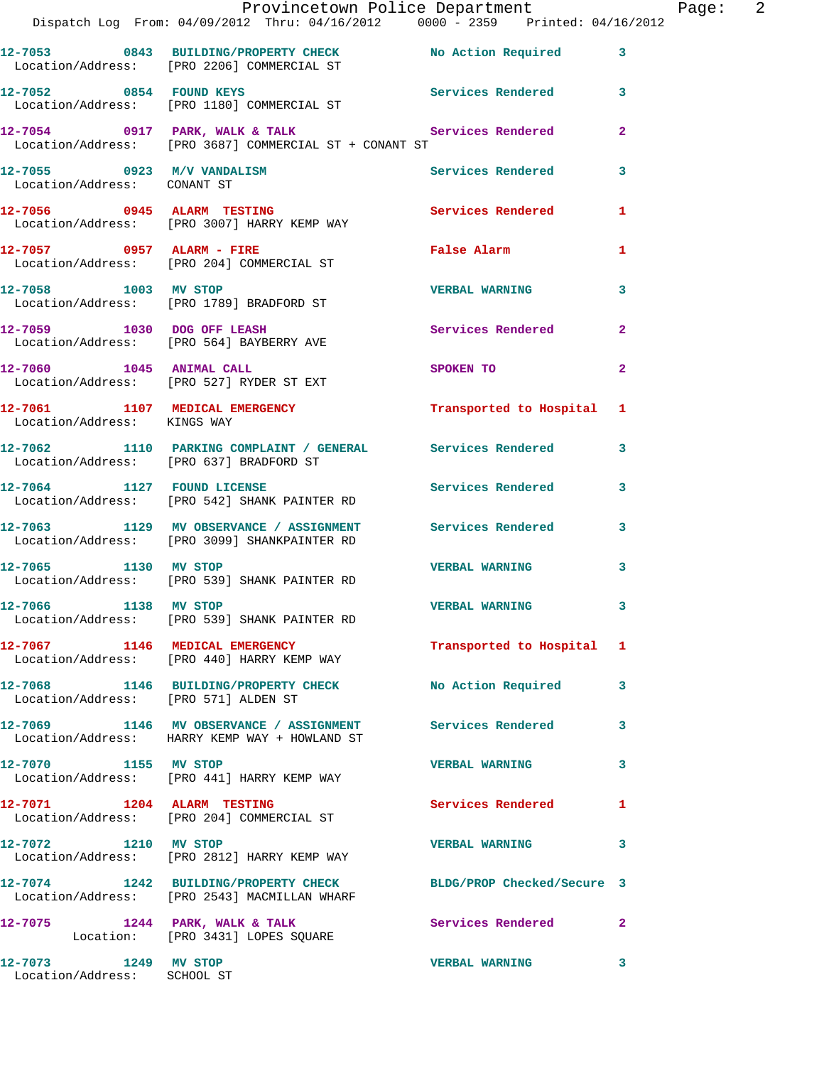|                                                           | Provincetown Police Department The Rage: 2                                                                         |                           |              |
|-----------------------------------------------------------|--------------------------------------------------------------------------------------------------------------------|---------------------------|--------------|
|                                                           | Dispatch Log From: 04/09/2012 Thru: 04/16/2012 0000 - 2359 Printed: 04/16/2012                                     |                           |              |
|                                                           | 12-7053 0843 BUILDING/PROPERTY CHECK No Action Required 3<br>Location/Address: [PRO 2206] COMMERCIAL ST            |                           |              |
|                                                           | 12-7052 0854 FOUND KEYS 12-7052 Services Rendered 3<br>Location/Address: [PRO 1180] COMMERCIAL ST                  |                           |              |
|                                                           | 12-7054 0917 PARK, WALK & TALK CHERE Services Rendered 2<br>Location/Address: [PRO 3687] COMMERCIAL ST + CONANT ST |                           |              |
| 12-7055 0923 M/V VANDALISM<br>Location/Address: CONANT ST |                                                                                                                    | Services Rendered 3       |              |
|                                                           | 12-7056 0945 ALARM TESTING<br>Location/Address: [PRO 3007] HARRY KEMP WAY                                          | Services Rendered 1       |              |
|                                                           | $12-7057$ 0957 ALARM - FIRE<br>Location/Address: [PRO 204] COMMERCIAL ST                                           | False Alarm               | 1            |
|                                                           | 12-7058 1003 MV STOP<br>Location/Address: [PRO 1789] BRADFORD ST                                                   | VERBAL WARNING 3          |              |
|                                                           | 12-7059 1030 DOG OFF LEASH<br>Location/Address: [PRO 564] BAYBERRY AVE                                             | Services Rendered         | $\mathbf{2}$ |
|                                                           | 12-7060 1045 ANIMAL CALL<br>Location/Address: [PRO 527] RYDER ST EXT                                               | SPOKEN TO 2               |              |
| Location/Address: KINGS WAY                               | 12-7061 1107 MEDICAL EMERGENCY 1 Transported to Hospital 1                                                         |                           |              |
|                                                           | 12-7062 1110 PARKING COMPLAINT / GENERAL Services Rendered 3<br>Location/Address: [PRO 637] BRADFORD ST            |                           |              |
|                                                           | 12-7064 1127 FOUND LICENSE<br>Location/Address: [PRO 542] SHANK PAINTER RD                                         | Services Rendered 3       |              |
|                                                           | 12-7063 1129 MV OBSERVANCE / ASSIGNMENT Services Rendered 3<br>Location/Address: [PRO 3099] SHANKPAINTER RD        |                           |              |
|                                                           | 12-7065 1130 MV STOP<br>Location/Address: [PRO 539] SHANK PAINTER RD                                               | VERBAL WARNING 3          |              |
| 12-7066 1138 MV STOP                                      | Location/Address: [PRO 539] SHANK PAINTER RD                                                                       | <b>VERBAL WARNING</b>     |              |
|                                                           | 12-7067 1146 MEDICAL EMERGENCY<br>Location/Address: [PRO 440] HARRY KEMP WAY                                       | Transported to Hospital 1 |              |
| Location/Address: [PRO 571] ALDEN ST                      | 12-7068 1146 BUILDING/PROPERTY CHECK No Action Required 3                                                          |                           |              |
|                                                           | 12-7069 1146 MV OBSERVANCE / ASSIGNMENT<br>Location/Address: HARRY KEMP WAY + HOWLAND ST                           | Services Rendered         | 3            |
| 12-7070 1155 MV STOP                                      | Location/Address: [PRO 441] HARRY KEMP WAY                                                                         | <b>VERBAL WARNING</b>     | 3            |
|                                                           | 12-7071 1204 ALARM TESTING<br>Location/Address: [PRO 204] COMMERCIAL ST                                            | Services Rendered         | 1            |
| 12-7072 1210 MV STOP                                      | Location/Address: [PRO 2812] HARRY KEMP WAY                                                                        | <b>VERBAL WARNING</b>     | 3            |
|                                                           | 12-7074 1242 BUILDING/PROPERTY CHECK BLDG/PROP Checked/Secure 3<br>Location/Address: [PRO 2543] MACMILLAN WHARF    |                           |              |
|                                                           | $12-7075$ 1244 PARK, WALK & TALK<br>Location: [PRO 3431] LOPES SQUARE                                              | Services Rendered         | $\mathbf{2}$ |
| 12-7073 1249 MV STOP<br>Location/Address: SCHOOL ST       |                                                                                                                    | <b>VERBAL WARNING</b>     | 3            |
|                                                           |                                                                                                                    |                           |              |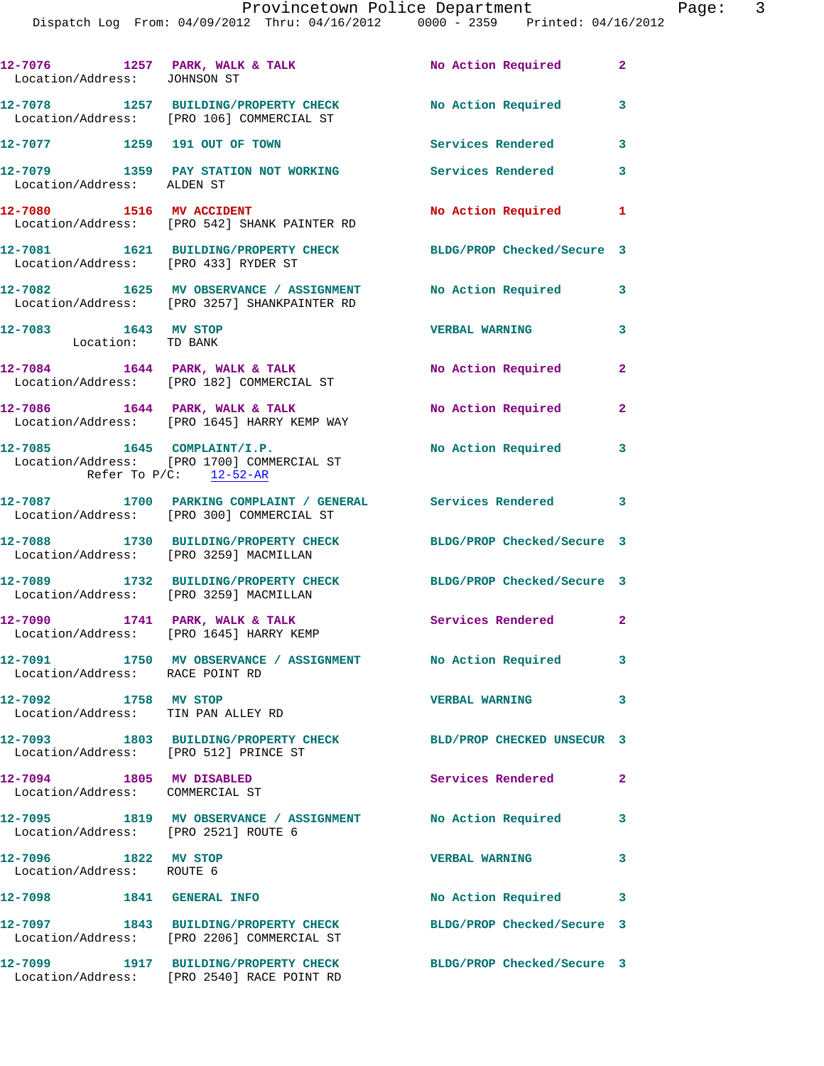| Location/Address: JOHNSON ST                                | 12-7076 1257 PARK, WALK & TALK                                                                                       | No Action Required         | $\mathbf{2}$   |
|-------------------------------------------------------------|----------------------------------------------------------------------------------------------------------------------|----------------------------|----------------|
|                                                             | 12-7078 1257 BUILDING/PROPERTY CHECK No Action Required 3<br>Location/Address: [PRO 106] COMMERCIAL ST               |                            |                |
| 12-7077 1259 191 OUT OF TOWN                                |                                                                                                                      | Services Rendered          | $\mathbf{3}$   |
| Location/Address: ALDEN ST                                  | 12-7079 1359 PAY STATION NOT WORKING                                                                                 | Services Rendered          | 3              |
|                                                             | 12-7080 1516 MV ACCIDENT<br>Location/Address: [PRO 542] SHANK PAINTER RD                                             | No Action Required         | 1              |
| Location/Address: [PRO 433] RYDER ST                        | 12-7081 1621 BUILDING/PROPERTY CHECK BLDG/PROP Checked/Secure 3                                                      |                            |                |
|                                                             | 12-7082 1625 MV OBSERVANCE / ASSIGNMENT No Action Required<br>Location/Address: [PRO 3257] SHANKPAINTER RD           |                            | 3              |
| 12-7083 1643 MV STOP<br>Location: TD BANK                   |                                                                                                                      | <b>VERBAL WARNING</b>      | $\mathbf{3}$   |
|                                                             | $12-7084$ 1644 PARK, WALK & TALK<br>Location/Address: [PRO 182] COMMERCIAL ST                                        | No Action Required         | $\mathbf{2}$   |
|                                                             | $12 - 7086$ 1644 PARK, WALK & TALK<br>Location/Address: [PRO 1645] HARRY KEMP WAY                                    | No Action Required         | $\overline{2}$ |
|                                                             | $12-7085$ 1645 COMPLAINT/I.P.<br>Location/Address: [PRO 1700] COMMERCIAL ST<br>Refer To $P/C$ : $\frac{12-52-AR}{2}$ | No Action Required         | 3              |
|                                                             | 12-7087 1700 PARKING COMPLAINT / GENERAL Services Rendered 3<br>Location/Address: [PRO 300] COMMERCIAL ST            |                            |                |
| Location/Address: [PRO 3259] MACMILLAN                      | 12-7088 1730 BUILDING/PROPERTY CHECK BLDG/PROP Checked/Secure 3                                                      |                            |                |
| Location/Address: [PRO 3259] MACMILLAN                      | 12-7089 1732 BUILDING/PROPERTY CHECK                                                                                 | BLDG/PROP Checked/Secure 3 |                |
|                                                             | 12-7090 1741 PARK, WALK & TALK<br>Location/Address: [PRO 1645] HARRY KEMP                                            | Services Rendered 2        |                |
| Location/Address: RACE POINT RD                             | 12-7091 1750 MV OBSERVANCE / ASSIGNMENT No Action Required                                                           |                            | 3              |
| 12-7092 1758 MV STOP<br>Location/Address: TIN PAN ALLEY RD  |                                                                                                                      | <b>VERBAL WARNING</b>      | 3              |
| Location/Address: [PRO 512] PRINCE ST                       | 12-7093 1803 BUILDING/PROPERTY CHECK                                                                                 | BLD/PROP CHECKED UNSECUR 3 |                |
| 12-7094 1805 MV DISABLED<br>Location/Address: COMMERCIAL ST |                                                                                                                      | <b>Services Rendered</b>   | $\mathbf{2}$   |
| Location/Address: [PRO 2521] ROUTE 6                        | 12-7095 1819 MV OBSERVANCE / ASSIGNMENT No Action Required                                                           |                            | 3              |
| 12-7096 1822 MV STOP<br>Location/Address: ROUTE 6           |                                                                                                                      | <b>VERBAL WARNING</b>      | 3              |
| 12-7098 1841 GENERAL INFO                                   |                                                                                                                      | No Action Required         | 3              |
|                                                             | 12-7097 1843 BUILDING/PROPERTY CHECK<br>Location/Address: [PRO 2206] COMMERCIAL ST                                   | BLDG/PROP Checked/Secure 3 |                |
|                                                             | 12-7099 1917 BUILDING/PROPERTY CHECK<br>Location/Address: [PRO 2540] RACE POINT RD                                   | BLDG/PROP Checked/Secure 3 |                |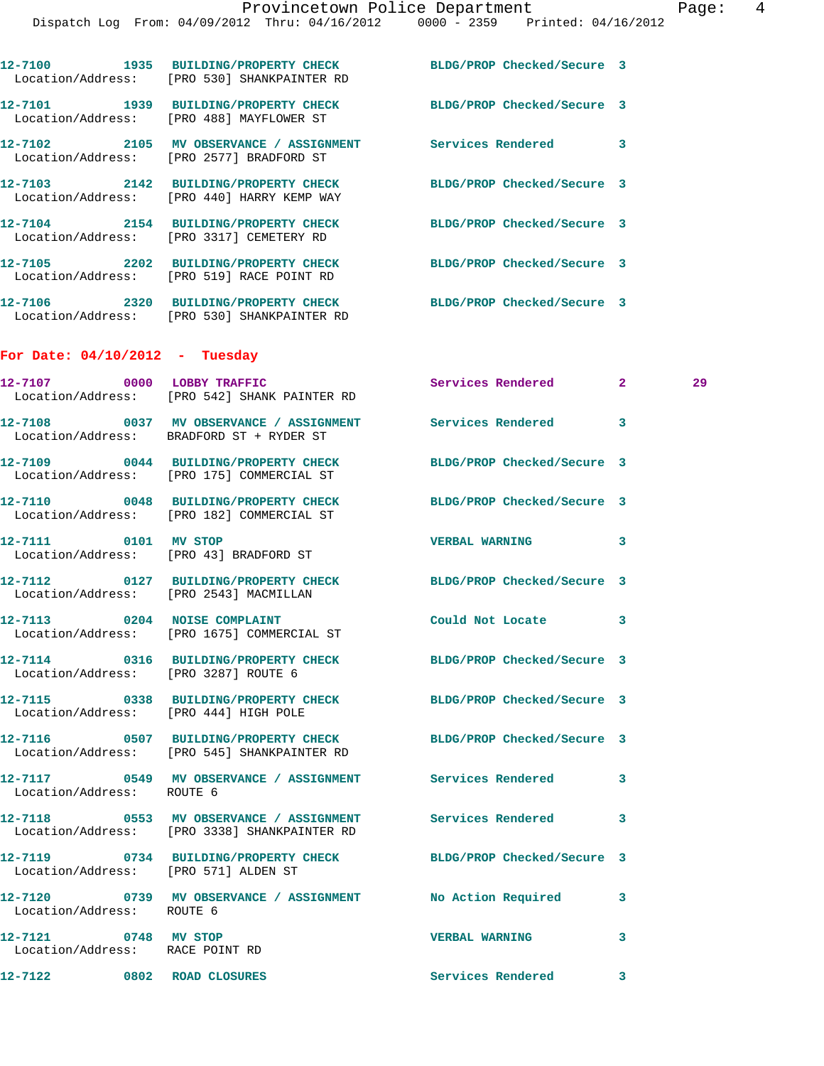|                                                         | 12-7100 1935 BUILDING/PROPERTY CHECK BLDG/PROP Checked/Secure 3<br>Location/Address: [PRO 530] SHANKPAINTER RD |                            |    |  |
|---------------------------------------------------------|----------------------------------------------------------------------------------------------------------------|----------------------------|----|--|
|                                                         | 12-7101 1939 BUILDING/PROPERTY CHECK<br>Location/Address: [PRO 488] MAYFLOWER ST                               | BLDG/PROP Checked/Secure 3 |    |  |
|                                                         | 12-7102 2105 MV OBSERVANCE / ASSIGNMENT Services Rendered 3<br>Location/Address: [PRO 2577] BRADFORD ST        |                            |    |  |
|                                                         | 12-7103 2142 BUILDING/PROPERTY CHECK<br>Location/Address: [PRO 440] HARRY KEMP WAY                             | BLDG/PROP Checked/Secure 3 |    |  |
|                                                         | 12-7104 2154 BUILDING/PROPERTY CHECK<br>Location/Address: [PRO 3317] CEMETERY RD                               | BLDG/PROP Checked/Secure 3 |    |  |
|                                                         | 12-7105 2202 BUILDING/PROPERTY CHECK<br>Location/Address: [PRO 519] RACE POINT RD                              | BLDG/PROP Checked/Secure 3 |    |  |
|                                                         | 12-7106 2320 BUILDING/PROPERTY CHECK BLDG/PROP Checked/Secure 3<br>Location/Address: [PRO 530] SHANKPAINTER RD |                            |    |  |
| For Date: $04/10/2012$ - Tuesday                        |                                                                                                                |                            |    |  |
| 12-7107 0000 LOBBY TRAFFIC                              | Location/Address: [PRO 542] SHANK PAINTER RD                                                                   | Services Rendered 2        | 29 |  |
|                                                         | 12-7108 0037 MV OBSERVANCE / ASSIGNMENT Services Rendered<br>Location/Address: BRADFORD ST + RYDER ST          |                            | 3  |  |
|                                                         | 12-7109 0044 BUILDING/PROPERTY CHECK<br>Location/Address: [PRO 175] COMMERCIAL ST                              | BLDG/PROP Checked/Secure 3 |    |  |
|                                                         | 12-7110 0048 BUILDING/PROPERTY CHECK<br>Location/Address: [PRO 182] COMMERCIAL ST                              | BLDG/PROP Checked/Secure 3 |    |  |
| 12-7111 0101 MV STOP                                    | Location/Address: [PRO 43] BRADFORD ST                                                                         | <b>VERBAL WARNING</b>      | 3  |  |
| Location/Address: [PRO 2543] MACMILLAN                  | 12-7112 0127 BUILDING/PROPERTY CHECK                                                                           | BLDG/PROP Checked/Secure 3 |    |  |
| 12-7113 0204 NOISE COMPLAINT                            | Location/Address: [PRO 1675] COMMERCIAL ST                                                                     | Could Not Locate           | 3  |  |
| Location/Address: [PRO 3287] ROUTE 6                    | 12-7114 0316 BUILDING/PROPERTY CHECK BLDG/PROP Checked/Secure 3                                                |                            |    |  |
| Location/Address: [PRO 444] HIGH POLE                   | 12-7115 0338 BUILDING/PROPERTY CHECK                                                                           | BLDG/PROP Checked/Secure 3 |    |  |
|                                                         | 12-7116 0507 BUILDING/PROPERTY CHECK BLDG/PROP Checked/Secure 3<br>Location/Address: [PRO 545] SHANKPAINTER RD |                            |    |  |
| Location/Address: ROUTE 6                               | 12-7117 0549 MV OBSERVANCE / ASSIGNMENT Services Rendered                                                      |                            | 3  |  |
|                                                         | 12-7118 6553 MV OBSERVANCE / ASSIGNMENT Services Rendered<br>Location/Address: [PRO 3338] SHANKPAINTER RD      |                            | 3  |  |
| Location/Address: [PRO 571] ALDEN ST                    | 12-7119 0734 BUILDING/PROPERTY CHECK BLDG/PROP Checked/Secure 3                                                |                            |    |  |
| Location/Address: ROUTE 6                               | 12-7120 0739 MV OBSERVANCE / ASSIGNMENT No Action Required                                                     |                            | 3  |  |
| 12-7121 0748 MV STOP<br>Location/Address: RACE POINT RD |                                                                                                                | <b>VERBAL WARNING</b>      | 3  |  |
| 12-7122 0802 ROAD CLOSURES                              |                                                                                                                | Services Rendered          | 3  |  |
|                                                         |                                                                                                                |                            |    |  |
|                                                         |                                                                                                                |                            |    |  |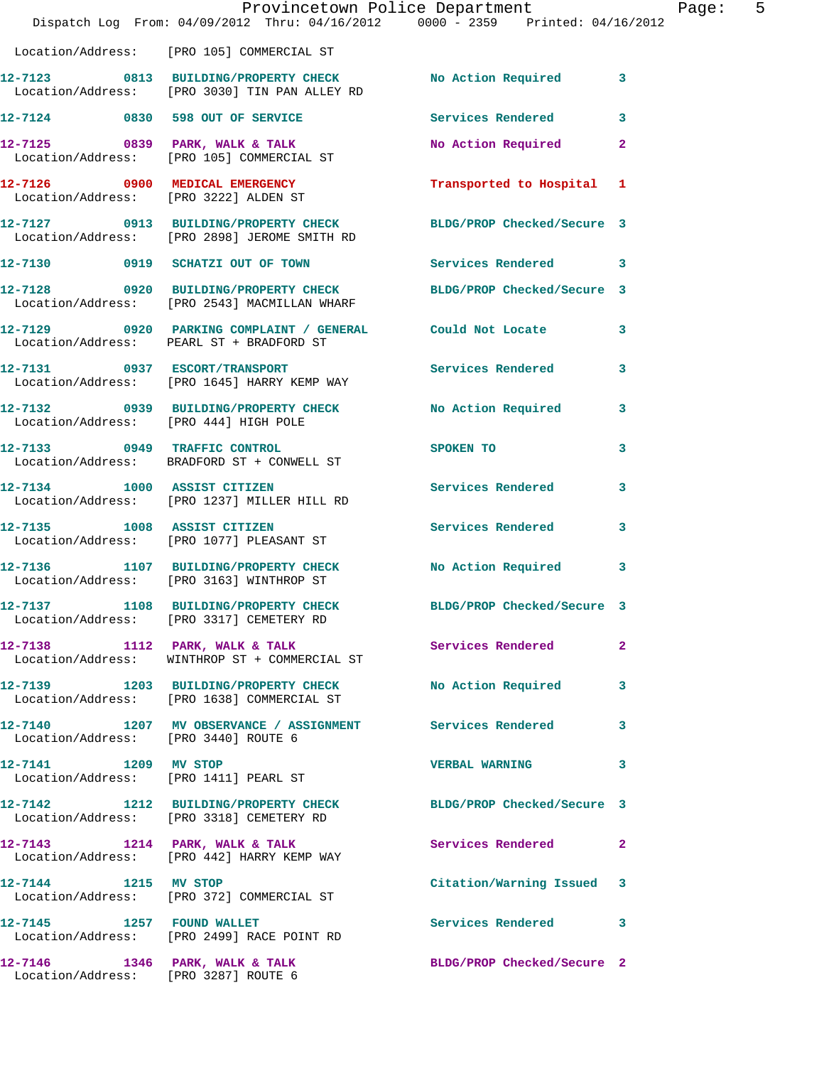|                                       | Dispatch Log From: 04/09/2012 Thru: 04/16/2012 0000 - 2359 Printed: 04/16/2012                                  | Provincetown Police Department        | Page: 5      |
|---------------------------------------|-----------------------------------------------------------------------------------------------------------------|---------------------------------------|--------------|
|                                       | Location/Address: [PRO 105] COMMERCIAL ST                                                                       |                                       |              |
|                                       | 12-7123 0813 BUILDING/PROPERTY CHECK No Action Required 3<br>Location/Address: [PRO 3030] TIN PAN ALLEY RD      |                                       |              |
|                                       | $12 - 7124$ 0830 598 OUT OF SERVICE                                                                             | <b>Services Rendered</b>              | 3            |
|                                       | 12-7125 0839 PARK, WALK & TALK<br>Location/Address: [PRO 105] COMMERCIAL ST                                     | No Action Required 2                  |              |
|                                       | 12-7126 0900 MEDICAL EMERGENCY<br>Location/Address: [PRO 3222] ALDEN ST                                         | Transported to Hospital 1             |              |
|                                       | 12-7127 0913 BUILDING/PROPERTY CHECK BLDG/PROP Checked/Secure 3<br>Location/Address: [PRO 2898] JEROME SMITH RD |                                       |              |
|                                       | 12-7130 0919 SCHATZI OUT OF TOWN Services Rendered 3                                                            |                                       |              |
|                                       | 12-7128 0920 BUILDING/PROPERTY CHECK BLDG/PROP Checked/Secure 3<br>Location/Address: [PRO 2543] MACMILLAN WHARF |                                       |              |
|                                       | 12-7129 0920 PARKING COMPLAINT / GENERAL Could Not Locate 3<br>Location/Address: PEARL ST + BRADFORD ST         |                                       |              |
|                                       | 12-7131 0937 ESCORT/TRANSPORT<br>Location/Address: [PRO 1645] HARRY KEMP WAY                                    | Services Rendered 3                   |              |
| Location/Address: [PRO 444] HIGH POLE | 12-7132 0939 BUILDING/PROPERTY CHECK No Action Required 3                                                       |                                       |              |
|                                       | 12-7133 0949 TRAFFIC CONTROL<br>Location/Address: BRADFORD ST + CONWELL ST                                      | SPOKEN TO THE SPOKEN OF THE SPOKEN TO | $\mathbf{3}$ |
|                                       | 12-7134 1000 ASSIST CITIZEN<br>Location/Address: [PRO 1237] MILLER HILL RD                                      | Services Rendered                     | 3            |
| 12-7135 1008 ASSIST CITIZEN           | Location/Address: [PRO 1077] PLEASANT ST                                                                        | <b>Services Rendered</b>              | $\mathbf{3}$ |
|                                       | 12-7136 1107 BUILDING/PROPERTY CHECK No Action Required 3<br>Location/Address: [PRO 3163] WINTHROP ST           |                                       |              |
|                                       | 12-7137 1108 BUILDING/PROPERTY CHECK<br>Location/Address: [PRO 3317] CEMETERY RD                                | BLDG/PROP Checked/Secure 3            |              |
|                                       | 12-7138 1112 PARK, WALK & TALK<br>Location/Address: WINTHROP ST + COMMERCIAL ST                                 | Services Rendered                     | $\mathbf{2}$ |
|                                       | 12-7139 1203 BUILDING/PROPERTY CHECK No Action Required 3<br>Location/Address: [PRO 1638] COMMERCIAL ST         |                                       |              |
| Location/Address: [PRO 3440] ROUTE 6  | 12-7140 1207 MV OBSERVANCE / ASSIGNMENT Services Rendered                                                       |                                       | 3            |
| 12-7141 1209 MV STOP                  | Location/Address: [PRO 1411] PEARL ST                                                                           | VERBAL WARNING 3                      |              |
|                                       | 12-7142 1212 BUILDING/PROPERTY CHECK BLDG/PROP Checked/Secure 3<br>Location/Address: [PRO 3318] CEMETERY RD     |                                       |              |
|                                       | 12-7143 1214 PARK, WALK & TALK 1988 Services Rendered 2<br>Location/Address: [PRO 442] HARRY KEMP WAY           |                                       |              |
|                                       | 12-7144 1215 MV STOP<br>Location/Address: [PRO 372] COMMERCIAL ST                                               | Citation/Warning Issued 3             |              |
| $12-7145$ 1257 FOUND WALLET           | Location/Address: [PRO 2499] RACE POINT RD                                                                      | Services Rendered 3                   |              |
| Location/Address: [PRO 3287] ROUTE 6  | 12-7146 1346 PARK, WALK & TALK                                                                                  | BLDG/PROP Checked/Secure 2            |              |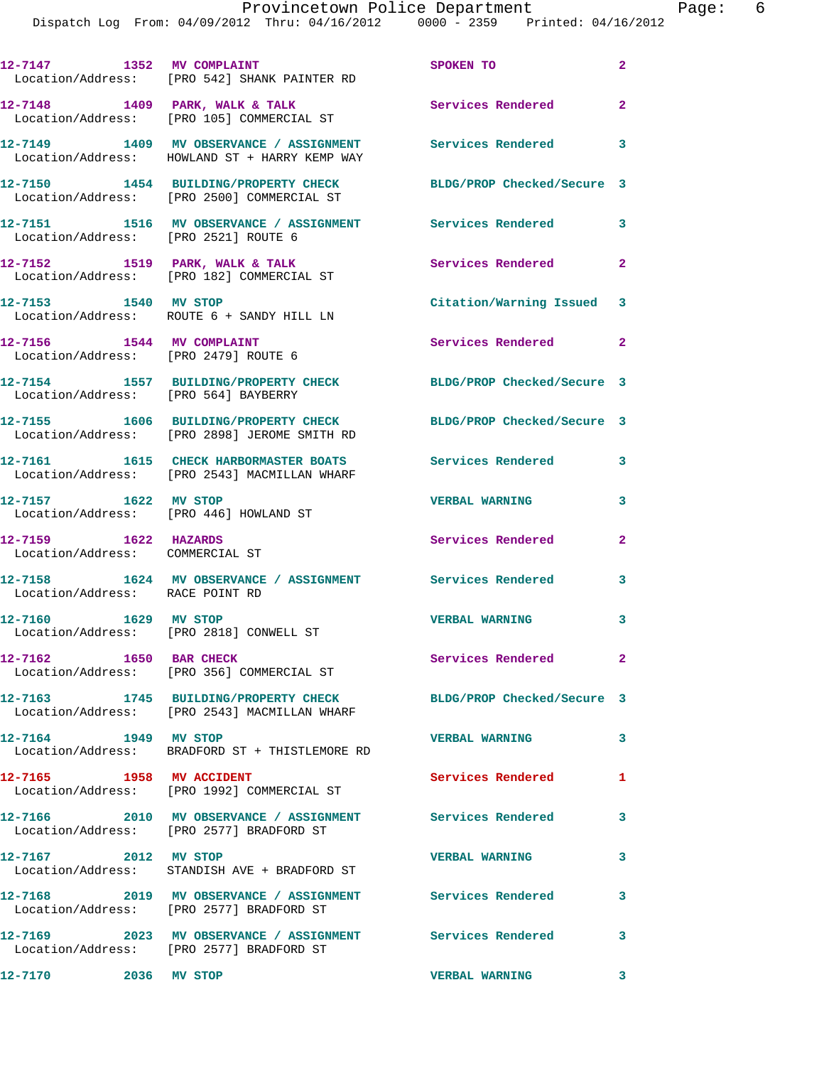|                                                                   | 12-7147 1352 MV COMPLAINT<br>Location/Address: [PRO 542] SHANK PAINTER RD                                    | SPOKEN TO                  | $\mathbf{2}$               |
|-------------------------------------------------------------------|--------------------------------------------------------------------------------------------------------------|----------------------------|----------------------------|
|                                                                   | $12 - 7148$ 1409 PARK, WALK & TALK<br>Location/Address: [PRO 105] COMMERCIAL ST                              | Services Rendered          | $\overline{\phantom{0}}$ 2 |
|                                                                   | 12-7149 1409 MV OBSERVANCE / ASSIGNMENT Services Rendered 3<br>Location/Address: HOWLAND ST + HARRY KEMP WAY |                            |                            |
|                                                                   | 12-7150 1454 BUILDING/PROPERTY CHECK<br>Location/Address: [PRO 2500] COMMERCIAL ST                           | BLDG/PROP Checked/Secure 3 |                            |
|                                                                   | 12-7151 1516 MV OBSERVANCE / ASSIGNMENT<br>Location/Address: [PRO 2521] ROUTE 6                              | <b>Services Rendered</b>   | 3                          |
|                                                                   | 12-7152 1519 PARK, WALK & TALK<br>Location/Address: [PRO 182] COMMERCIAL ST                                  | Services Rendered          | $\mathbf{2}$               |
| 12-7153 1540 MV STOP                                              | Location/Address: ROUTE 6 + SANDY HILL LN                                                                    | Citation/Warning Issued 3  |                            |
| 12-7156 1544 MV COMPLAINT<br>Location/Address: [PRO 2479] ROUTE 6 |                                                                                                              | Services Rendered 2        |                            |
| Location/Address: [PRO 564] BAYBERRY                              | 12-7154 1557 BUILDING/PROPERTY CHECK                                                                         | BLDG/PROP Checked/Secure 3 |                            |
|                                                                   | 12-7155 1606 BUILDING/PROPERTY CHECK<br>Location/Address: [PRO 2898] JEROME SMITH RD                         | BLDG/PROP Checked/Secure 3 |                            |
|                                                                   | 12-7161 1615 CHECK HARBORMASTER BOATS<br>Location/Address: [PRO 2543] MACMILLAN WHARF                        | Services Rendered 3        |                            |
| 12-7157 1622 MV STOP<br>Location/Address: [PRO 446] HOWLAND ST    |                                                                                                              | <b>VERBAL WARNING</b>      | 3                          |
| 12-7159 1622 HAZARDS<br>Location/Address: COMMERCIAL ST           |                                                                                                              | Services Rendered          | $\mathbf{2}$               |
| Location/Address: RACE POINT RD                                   | 12-7158 1624 MV OBSERVANCE / ASSIGNMENT Services Rendered                                                    |                            | 3                          |
| 12-7160 1629 MV STOP                                              | Location/Address: [PRO 2818] CONWELL ST                                                                      | <b>VERBAL WARNING</b>      | 3                          |
| 12-7162 1650 BAR CHECK                                            | Location/Address: [PRO 356] COMMERCIAL ST                                                                    | Services Rendered          | $\mathbf{2}$               |
|                                                                   | 12-7163 1745 BUILDING/PROPERTY CHECK<br>Location/Address: [PRO 2543] MACMILLAN WHARF                         | BLDG/PROP Checked/Secure 3 |                            |
| 12-7164 1949 MV STOP                                              | Location/Address: BRADFORD ST + THISTLEMORE RD                                                               | <b>VERBAL WARNING</b>      | $\mathbf{3}$               |
| 12-7165 1958 MV ACCIDENT                                          | Location/Address: [PRO 1992] COMMERCIAL ST                                                                   | Services Rendered          | 1                          |
|                                                                   | 12-7166 2010 MV OBSERVANCE / ASSIGNMENT<br>Location/Address: [PRO 2577] BRADFORD ST                          | <b>Services Rendered</b>   | 3                          |
| 12-7167 2012 MV STOP                                              | Location/Address: STANDISH AVE + BRADFORD ST                                                                 | <b>VERBAL WARNING</b>      | $\mathbf{3}$               |
|                                                                   | 12-7168 2019 MV OBSERVANCE / ASSIGNMENT Services Rendered<br>Location/Address: [PRO 2577] BRADFORD ST        |                            | 3                          |
|                                                                   | 12-7169 2023 MV OBSERVANCE / ASSIGNMENT Services Rendered 3<br>Location/Address: [PRO 2577] BRADFORD ST      |                            |                            |
| 12-7170 2036 MV STOP                                              |                                                                                                              | <b>VERBAL WARNING</b>      | 3                          |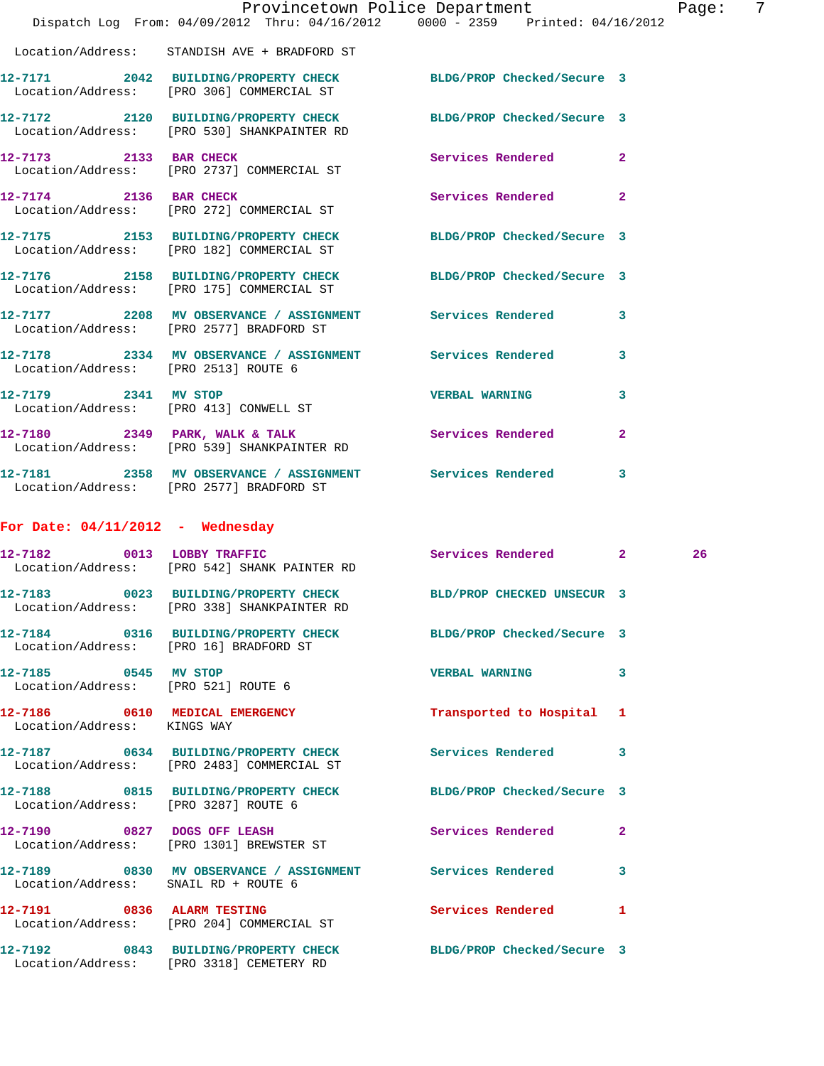|                                        | Dispatch Log From: 04/09/2012 Thru: 04/16/2012 0000 - 2359 Printed: 04/16/2012                                 | Provincetown Police Department |                | Page |
|----------------------------------------|----------------------------------------------------------------------------------------------------------------|--------------------------------|----------------|------|
|                                        |                                                                                                                |                                |                |      |
|                                        | Location/Address: STANDISH AVE + BRADFORD ST                                                                   |                                |                |      |
|                                        | 12-7171 2042 BUILDING/PROPERTY CHECK BLDG/PROP Checked/Secure 3<br>Location/Address: [PRO 306] COMMERCIAL ST   |                                |                |      |
|                                        | 12-7172 2120 BUILDING/PROPERTY CHECK BLDG/PROP Checked/Secure 3<br>Location/Address: [PRO 530] SHANKPAINTER RD |                                |                |      |
|                                        | 12-7173 2133 BAR CHECK Services Rendered<br>Location/Address: [PRO 2737] COMMERCIAL ST                         |                                | $\mathbf{2}$   |      |
| 12-7174 2136 BAR CHECK                 | Location/Address: [PRO 272] COMMERCIAL ST                                                                      | Services Rendered 2            |                |      |
|                                        | 12-7175 2153 BUILDING/PROPERTY CHECK BLDG/PROP Checked/Secure 3<br>Location/Address: [PRO 182] COMMERCIAL ST   |                                |                |      |
|                                        | 12-7176 2158 BUILDING/PROPERTY CHECK BLDG/PROP Checked/Secure 3<br>Location/Address: [PRO 175] COMMERCIAL ST   |                                |                |      |
|                                        | 12-7177 2208 MV OBSERVANCE / ASSIGNMENT Services Rendered<br>Location/Address: [PRO 2577] BRADFORD ST          |                                | 3              |      |
|                                        | 12-7178 2334 MV OBSERVANCE / ASSIGNMENT Services Rendered<br>Location/Address: [PRO 2513] ROUTE 6              |                                | 3              |      |
|                                        | 12-7179 2341 MV STOP<br>Location/Address: [PRO 413] CONWELL ST                                                 | <b>VERBAL WARNING</b>          | 3              |      |
|                                        | 12-7180 2349 PARK, WALK & TALK 2008 Services Rendered Location/Address: [PRO 539] SHANKPAINTER RD              |                                | $\overline{a}$ |      |
|                                        | 12-7181 2358 MV OBSERVANCE / ASSIGNMENT Services Rendered<br>Location/Address: [PRO 2577] BRADFORD ST          |                                | 3              |      |
| For Date: $04/11/2012$ - Wednesday     |                                                                                                                |                                |                |      |
|                                        | 12-7182 0013 LOBBY TRAFFIC<br>Location/Address: [PRO 542] SHANK PAINTER RD                                     | Services Rendered 2            |                | 26   |
|                                        | 12-7183 0023 BUILDING/PROPERTY CHECK BLD/PROP CHECKED UNSECUR 3<br>Location/Address: [PRO 338] SHANKPAINTER RD |                                |                |      |
| Location/Address: [PRO 16] BRADFORD ST | 12-7184 0316 BUILDING/PROPERTY CHECK BLDG/PROP Checked/Secure 3                                                |                                |                |      |
| 12-7185 0545 MV STOP                   | Location/Address: [PRO 521] ROUTE 6                                                                            | <b>VERBAL WARNING</b>          | 3              |      |
| Location/Address: KINGS WAY            | 12-7186 0610 MEDICAL EMERGENCY                                                                                 | Transported to Hospital 1      |                |      |
|                                        | 12-7187 0634 BUILDING/PROPERTY CHECK Services Rendered<br>Location/Address: [PRO 2483] COMMERCIAL ST           |                                | 3              |      |
| Location/Address: [PRO 3287] ROUTE 6   | 12-7188 0815 BUILDING/PROPERTY CHECK BLDG/PROP Checked/Secure 3                                                |                                |                |      |
|                                        | 12-7190 0827 DOGS OFF LEASH<br>Location/Address: [PRO 1301] BREWSTER ST                                        | Services Rendered              | $\mathbf{2}$   |      |
| Location/Address: SNAIL RD + ROUTE 6   | 12-7189 0830 MV OBSERVANCE / ASSIGNMENT Services Rendered                                                      |                                | 3              |      |
|                                        | 12-7191 0836 ALARM TESTING<br>Location/Address: [PRO 204] COMMERCIAL ST                                        | Services Rendered              | 1              |      |
|                                        | 12-7192 0843 BUILDING/PROPERTY CHECK BLDG/PROP Checked/Secure 3<br>Location/Address: [PRO 3318] CEMETERY RD    |                                |                |      |

age: 7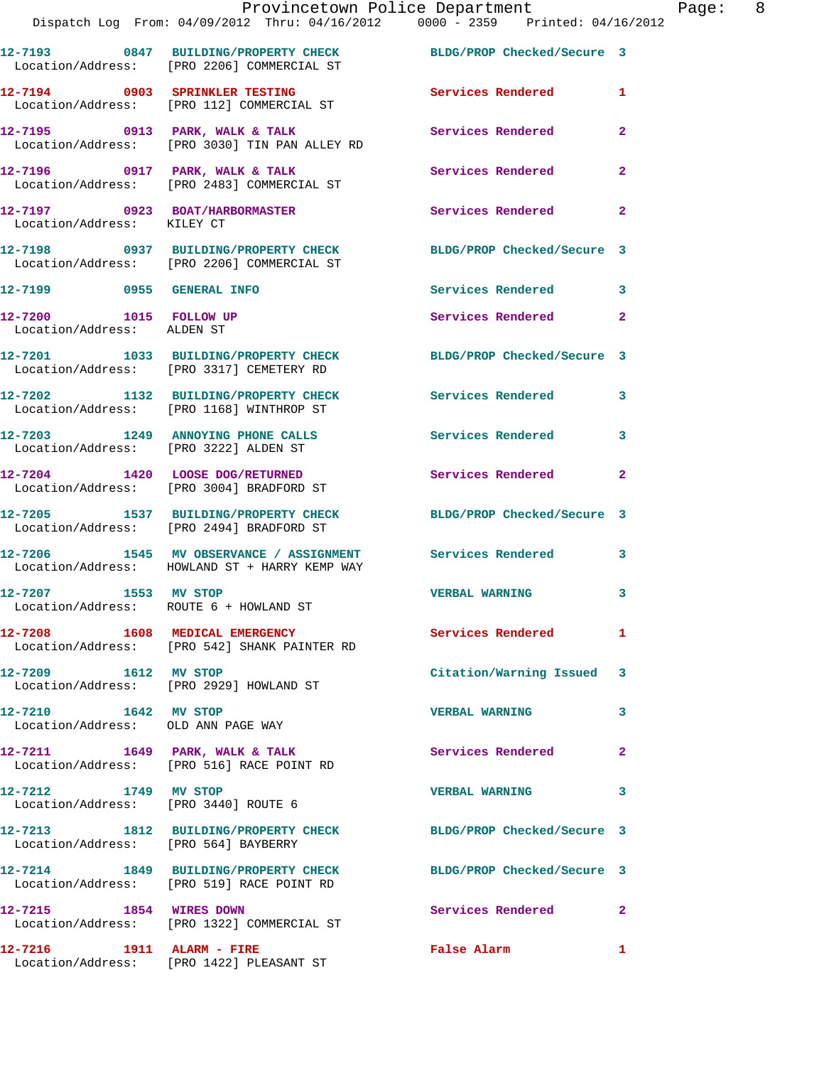|                                                              | Provincetown Police Department Page: 8<br>Dispatch Log From: 04/09/2012 Thru: 04/16/2012 0000 - 2359 Printed: 04/16/2012 |                            |              |  |
|--------------------------------------------------------------|--------------------------------------------------------------------------------------------------------------------------|----------------------------|--------------|--|
|                                                              | 12-7193 0847 BUILDING/PROPERTY CHECK BLDG/PROP Checked/Secure 3<br>Location/Address: [PRO 2206] COMMERCIAL ST            |                            |              |  |
|                                                              | 12-7194 0903 SPRINKLER TESTING Services Rendered 1<br>Location/Address: [PRO 112] COMMERCIAL ST                          |                            |              |  |
|                                                              | 12-7195 0913 PARK, WALK & TALK<br>Location/Address: [PRO 3030] TIN PAN ALLEY RD                                          | Services Rendered          | $\mathbf{2}$ |  |
|                                                              | 12-7196 0917 PARK, WALK & TALK 3 Services Rendered<br>Location/Address: [PRO 2483] COMMERCIAL ST                         |                            | $\mathbf{2}$ |  |
| Location/Address: KILEY CT                                   | 12-7197 0923 BOAT/HARBORMASTER Services Rendered                                                                         |                            | $\mathbf{2}$ |  |
|                                                              | 12-7198 0937 BUILDING/PROPERTY CHECK BLDG/PROP Checked/Secure 3<br>Location/Address: [PRO 2206] COMMERCIAL ST            |                            |              |  |
| 12-7199 0955 GENERAL INFO                                    |                                                                                                                          | Services Rendered 3        |              |  |
| 12-7200 1015 FOLLOW UP<br>Location/Address: ALDEN ST         |                                                                                                                          | Services Rendered          | $\mathbf{2}$ |  |
|                                                              | 12-7201 1033 BUILDING/PROPERTY CHECK BLDG/PROP Checked/Secure 3<br>Location/Address: [PRO 3317] CEMETERY RD              |                            |              |  |
|                                                              | 12-7202 1132 BUILDING/PROPERTY CHECK Services Rendered 3<br>Location/Address: [PRO 1168] WINTHROP ST                     |                            |              |  |
| Location/Address: [PRO 3222] ALDEN ST                        | 12-7203 1249 ANNOYING PHONE CALLS                                                                                        | Services Rendered 3        |              |  |
|                                                              | 12-7204 1420 LOOSE DOG/RETURNED<br>Location/Address: [PRO 3004] BRADFORD ST                                              | Services Rendered          | $\mathbf{2}$ |  |
|                                                              | 12-7205 1537 BUILDING/PROPERTY CHECK BLDG/PROP Checked/Secure 3<br>Location/Address: [PRO 2494] BRADFORD ST              |                            |              |  |
|                                                              | 12-7206 1545 MV OBSERVANCE / ASSIGNMENT Services Rendered 3<br>Location/Address: HOWLAND ST + HARRY KEMP WAY             |                            |              |  |
| 12-7207 1553 MV STOP                                         | Location/Address: ROUTE 6 + HOWLAND ST                                                                                   | <b>VERBAL WARNING</b> 3    |              |  |
|                                                              | 12-7208 1608 MEDICAL EMERGENCY<br>Location/Address: [PRO 542] SHANK PAINTER RD                                           | Services Rendered 1        |              |  |
| 12-7209 1612 MV STOP                                         | Location/Address: [PRO 2929] HOWLAND ST                                                                                  | Citation/Warning Issued 3  |              |  |
| 12-7210 1642 MV STOP<br>Location/Address: OLD ANN PAGE WAY   |                                                                                                                          | <b>VERBAL WARNING</b>      | 3            |  |
|                                                              | $12-7211$ 1649 PARK, WALK & TALK<br>Location/Address: [PRO 516] RACE POINT RD                                            | Services Rendered          | $\mathbf{2}$ |  |
| 12-7212 1749 MV STOP<br>Location/Address: [PRO 3440] ROUTE 6 |                                                                                                                          | <b>VERBAL WARNING</b>      | 3            |  |
| Location/Address: [PRO 564] BAYBERRY                         | 12-7213 1812 BUILDING/PROPERTY CHECK BLDG/PROP Checked/Secure 3                                                          |                            |              |  |
|                                                              | 12-7214 1849 BUILDING/PROPERTY CHECK BLDG/PROP Checked/Secure 3<br>Location/Address: [PRO 519] RACE POINT RD             |                            |              |  |
|                                                              | 12-7215 1854 WIRES DOWN<br>Location/Address: [PRO 1322] COMMERCIAL ST                                                    | <b>Services Rendered</b> 2 |              |  |
|                                                              | 12-7216 1911 ALARM - FIRE<br>Location/Address: [PRO 1422] PLEASANT ST                                                    | False Alarm                | 1            |  |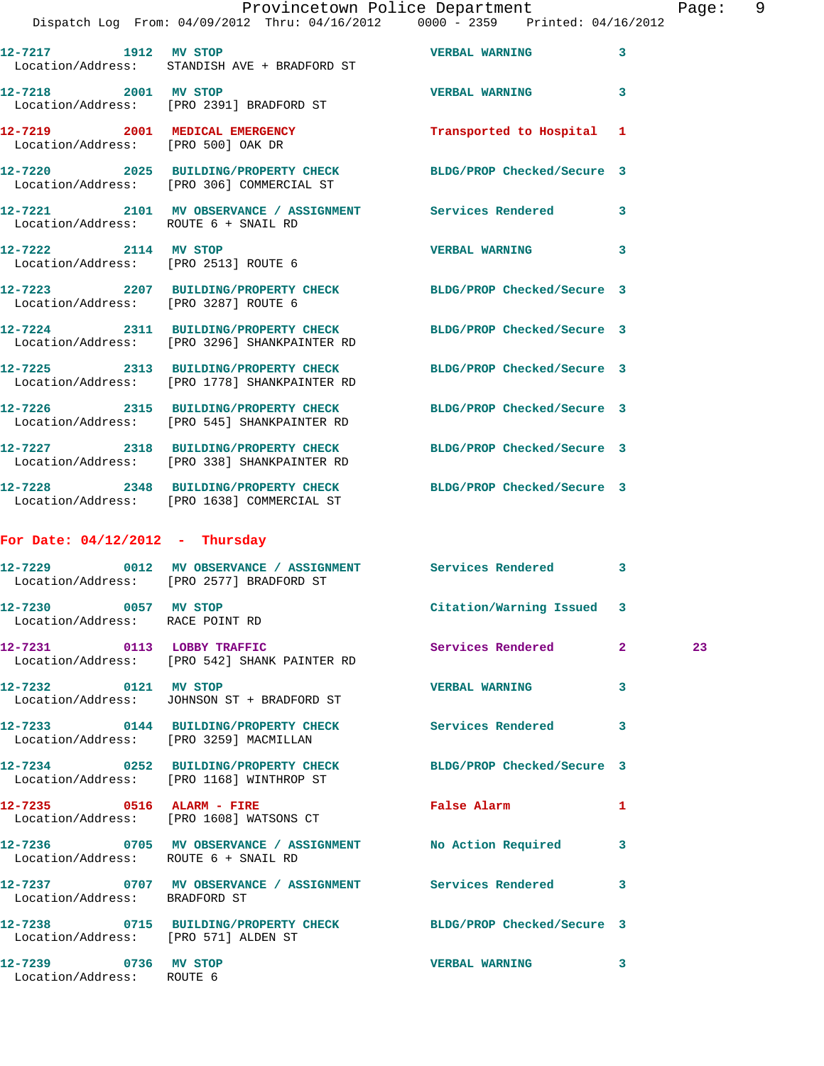|                                      |                                                                                                                 | Provincetown Police Department | 9<br>Page:              |
|--------------------------------------|-----------------------------------------------------------------------------------------------------------------|--------------------------------|-------------------------|
|                                      | Dispatch Log From: 04/09/2012 Thru: 04/16/2012 0000 - 2359 Printed: 04/16/2012                                  |                                |                         |
| 12-7217 1912 MV STOP                 | Location/Address: STANDISH AVE + BRADFORD ST                                                                    | VERBAL WARNING 3               |                         |
|                                      | 12-7218 2001 MV STOP<br>Location/Address: [PRO 2391] BRADFORD ST                                                | <b>VERBAL WARNING</b>          | $\overline{\mathbf{3}}$ |
| Location/Address: [PRO 500] OAK DR   | 12-7219 2001 MEDICAL EMERGENCY Transported to Hospital 1                                                        |                                |                         |
|                                      | 12-7220 2025 BUILDING/PROPERTY CHECK BLDG/PROP Checked/Secure 3<br>Location/Address: [PRO 306] COMMERCIAL ST    |                                |                         |
| Location/Address: ROUTE 6 + SNAIL RD | 12-7221 2101 MV OBSERVANCE / ASSIGNMENT Services Rendered 3                                                     |                                |                         |
| Location/Address: [PRO 2513] ROUTE 6 | 12-7222 2114 MV STOP 2008 2009 22:00 VERBAL WARNING                                                             |                                | 3                       |
| Location/Address: [PRO 3287] ROUTE 6 | 12-7223 2207 BUILDING/PROPERTY CHECK BLDG/PROP Checked/Secure 3                                                 |                                |                         |
|                                      | 12-7224 2311 BUILDING/PROPERTY CHECK BLDG/PROP Checked/Secure 3<br>Location/Address: [PRO 3296] SHANKPAINTER RD |                                |                         |
|                                      | 12-7225 2313 BUILDING/PROPERTY CHECK BLDG/PROP Checked/Secure 3<br>Location/Address: [PRO 1778] SHANKPAINTER RD |                                |                         |
|                                      | 12-7226 2315 BUILDING/PROPERTY CHECK BLDG/PROP Checked/Secure 3<br>Location/Address: [PRO 545] SHANKPAINTER RD  |                                |                         |

**12-7227 2318 BUILDING/PROPERTY CHECK BLDG/PROP Checked/Secure 3**  Location/Address: [PRO 338] SHANKPAINTER RD **12-7228 2348 BUILDING/PROPERTY CHECK BLDG/PROP Checked/Secure 3**  Location/Address: [PRO 1638] COMMERCIAL ST

## **For Date: 04/12/2012 - Thursday**

|                                                         | 12-7229 0012 MV OBSERVANCE / ASSIGNMENT Services Rendered 3<br>Location/Address: [PRO 2577] BRADFORD ST     |                           |                         |    |
|---------------------------------------------------------|-------------------------------------------------------------------------------------------------------------|---------------------------|-------------------------|----|
| 12-7230 0057 MV STOP<br>Location/Address: RACE POINT RD |                                                                                                             | Citation/Warning Issued 3 |                         |    |
|                                                         | 12-7231 0113 LOBBY TRAFFIC<br>Location/Address: [PRO 542] SHANK PAINTER RD                                  | Services Rendered         | $\overline{2}$          | 23 |
|                                                         | 12-7232 0121 MV STOP<br>Location/Address: JOHNSON ST + BRADFORD ST                                          | <b>VERBAL WARNING</b>     | 3                       |    |
|                                                         | 12-7233 0144 BUILDING/PROPERTY CHECK Services Rendered<br>Location/Address: [PRO 3259] MACMILLAN            |                           | $\overline{\mathbf{3}}$ |    |
|                                                         | 12-7234 0252 BUILDING/PROPERTY CHECK BLDG/PROP Checked/Secure 3<br>Location/Address: [PRO 1168] WINTHROP ST |                           |                         |    |
|                                                         | 12-7235 0516 ALARM - FIRE<br>Location/Address: [PRO 1608] WATSONS CT                                        | False Alarm               | $\mathbf{1}$            |    |
| Location/Address: ROUTE 6 + SNAIL RD                    | 12-7236 0705 MV OBSERVANCE / ASSIGNMENT No Action Required                                                  |                           | 3                       |    |
| Location/Address: BRADFORD ST                           | 12-7237 0707 MV OBSERVANCE / ASSIGNMENT Services Rendered                                                   |                           | 3                       |    |
| Location/Address: [PRO 571] ALDEN ST                    | 12-7238 0715 BUILDING/PROPERTY CHECK BLDG/PROP Checked/Secure 3                                             |                           |                         |    |
| 12-7239 0736 MV STOP<br>Location/Address: ROUTE 6       |                                                                                                             | <b>VERBAL WARNING</b>     | 3                       |    |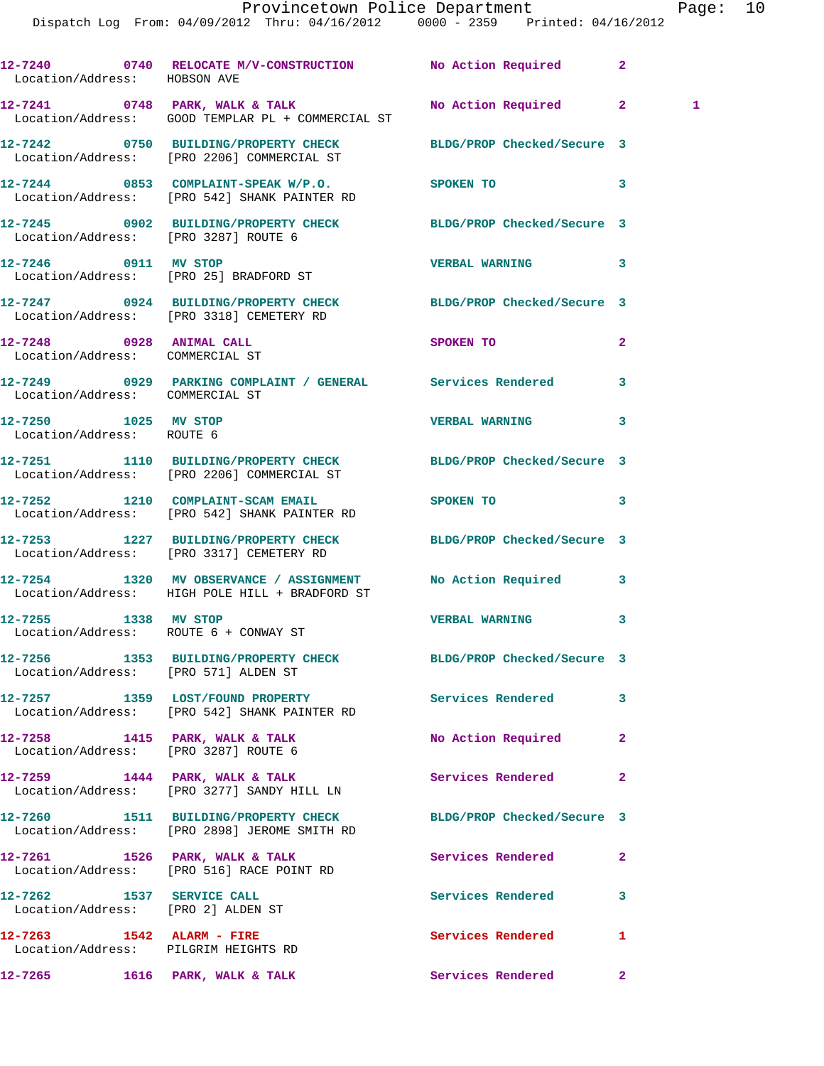| Location/Address: HOBSON AVE                                      | 12-7240 0740 RELOCATE M/V-CONSTRUCTION No Action Required                                                      |                            | $\mathbf{2}$   |
|-------------------------------------------------------------------|----------------------------------------------------------------------------------------------------------------|----------------------------|----------------|
|                                                                   | 12-7241 0748 PARK, WALK & TALK No Action Required 2<br>Location/Address: GOOD TEMPLAR PL + COMMERCIAL ST       |                            | 1              |
|                                                                   | 12-7242 0750 BUILDING/PROPERTY CHECK BLDG/PROP Checked/Secure 3<br>Location/Address: [PRO 2206] COMMERCIAL ST  |                            |                |
|                                                                   | 12-7244 0853 COMPLAINT-SPEAK W/P.O. SPOKEN TO<br>Location/Address: [PRO 542] SHANK PAINTER RD                  |                            | 3              |
| Location/Address: [PRO 3287] ROUTE 6                              | 12-7245 0902 BUILDING/PROPERTY CHECK BLDG/PROP Checked/Secure 3                                                |                            |                |
|                                                                   | 12-7246 0911 MV STOP<br>Location/Address: [PRO 25] BRADFORD ST                                                 | <b>VERBAL WARNING</b>      | 3              |
|                                                                   | 12-7247 0924 BUILDING/PROPERTY CHECK BLDG/PROP Checked/Secure 3<br>Location/Address: [PRO 3318] CEMETERY RD    |                            |                |
| 12-7248 0928 ANIMAL CALL<br>Location/Address: COMMERCIAL ST       |                                                                                                                | SPOKEN TO                  | $\overline{2}$ |
| Location/Address: COMMERCIAL ST                                   | 12-7249 0929 PARKING COMPLAINT / GENERAL Services Rendered                                                     |                            | 3              |
| 12-7250 1025 MV STOP<br>Location/Address: ROUTE 6                 |                                                                                                                | <b>VERBAL WARNING</b>      | 3              |
|                                                                   | 12-7251 1110 BUILDING/PROPERTY CHECK BLDG/PROP Checked/Secure 3<br>Location/Address: [PRO 2206] COMMERCIAL ST  |                            |                |
|                                                                   | 12-7252 1210 COMPLAINT-SCAM EMAIL<br>Location/Address: [PRO 542] SHANK PAINTER RD                              | <b>SPOKEN TO</b>           | 3              |
|                                                                   | 12-7253 1227 BUILDING/PROPERTY CHECK BLDG/PROP Checked/Secure 3<br>Location/Address: [PRO 3317] CEMETERY RD    |                            |                |
|                                                                   | 12-7254 1320 MV OBSERVANCE / ASSIGNMENT No Action Required 3<br>Location/Address: HIGH POLE HILL + BRADFORD ST |                            |                |
|                                                                   | 12-7255 1338 MV STOP<br>Location/Address: ROUTE 6 + CONWAY ST                                                  | <b>VERBAL WARNING</b>      | 3              |
| Location/Address: [PRO 571] ALDEN ST                              | 12-7256 1353 BUILDING/PROPERTY CHECK                                                                           | BLDG/PROP Checked/Secure 3 |                |
|                                                                   | 12-7257 1359 LOST/FOUND PROPERTY Services Rendered<br>Location/Address: [PRO 542] SHANK PAINTER RD             |                            | 3              |
| Location/Address: [PRO 3287] ROUTE 6                              | $12-7258$ 1415 PARK, WALK & TALK                                                                               | No Action Required         | $\mathbf{2}$   |
|                                                                   | $12-7259$ 1444 PARK, WALK & TALK<br>Location/Address: [PRO 3277] SANDY HILL LN                                 | Services Rendered          | $\mathbf{2}$   |
|                                                                   | 12-7260 1511 BUILDING/PROPERTY CHECK<br>Location/Address: [PRO 2898] JEROME SMITH RD                           | BLDG/PROP Checked/Secure 3 |                |
|                                                                   | 12-7261 1526 PARK, WALK & TALK<br>Location/Address: [PRO 516] RACE POINT RD                                    | Services Rendered          | $\mathbf{2}$   |
| 12-7262 1537 SERVICE CALL<br>Location/Address: [PRO 2] ALDEN ST   |                                                                                                                | Services Rendered          | 3              |
| 12-7263 1542 ALARM - FIRE<br>Location/Address: PILGRIM HEIGHTS RD |                                                                                                                | Services Rendered          | 1              |
|                                                                   |                                                                                                                |                            | 2 <sup>1</sup> |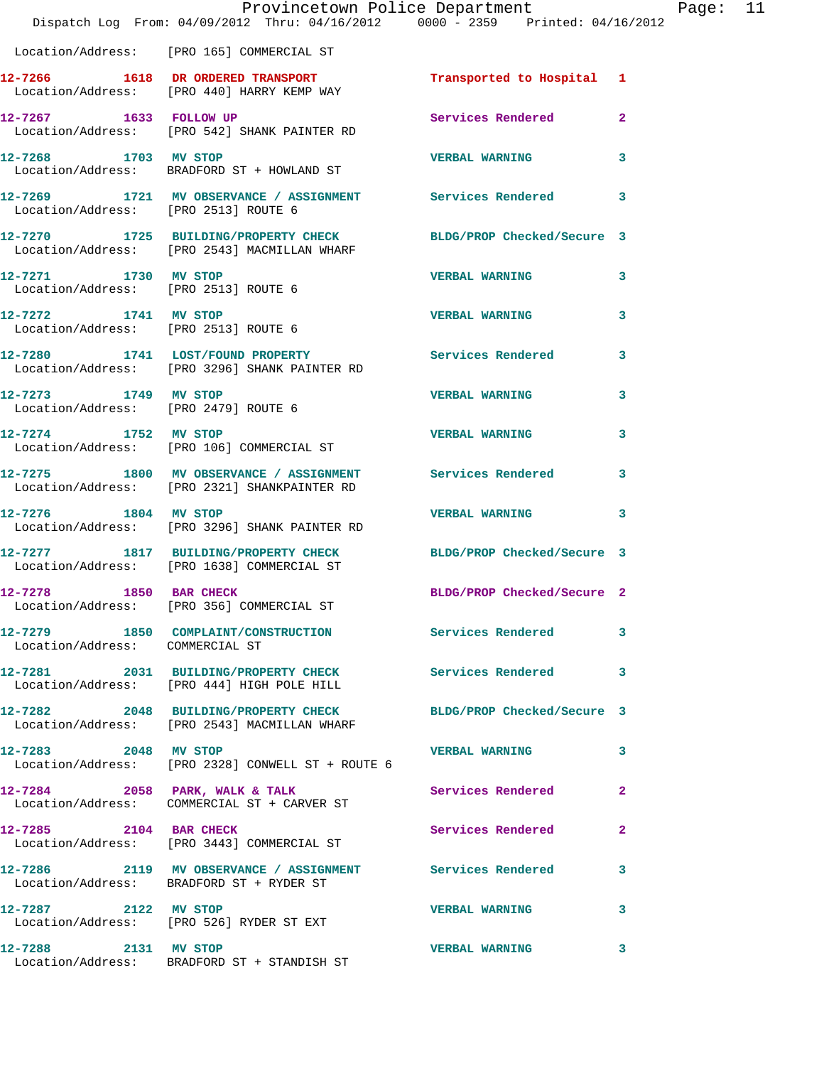|                                                              | Provincetown Police Department<br>Dispatch Log From: 04/09/2012 Thru: 04/16/2012 0000 - 2359 Printed: 04/16/2012 |                            |                |
|--------------------------------------------------------------|------------------------------------------------------------------------------------------------------------------|----------------------------|----------------|
|                                                              | Location/Address: [PRO 165] COMMERCIAL ST                                                                        |                            |                |
|                                                              | 12-7266 1618 DR ORDERED TRANSPORT Transported to Hospital 1<br>Location/Address: [PRO 440] HARRY KEMP WAY        |                            |                |
| 12-7267 1633 FOLLOW UP                                       | Location/Address: [PRO 542] SHANK PAINTER RD                                                                     | <b>Services Rendered</b>   | $\overline{2}$ |
|                                                              | 12-7268 1703 MV STOP<br>Location/Address: BRADFORD ST + HOWLAND ST                                               | <b>VERBAL WARNING</b>      | 3              |
| Location/Address: [PRO 2513] ROUTE 6                         | 12-7269 1721 MV OBSERVANCE / ASSIGNMENT Services Rendered                                                        |                            | 3              |
|                                                              | 12-7270 1725 BUILDING/PROPERTY CHECK BLDG/PROP Checked/Secure 3<br>Location/Address: [PRO 2543] MACMILLAN WHARF  |                            |                |
| 12-7271 1730 MV STOP<br>Location/Address: [PRO 2513] ROUTE 6 |                                                                                                                  | <b>VERBAL WARNING</b>      | 3              |
| 12-7272 1741 MV STOP<br>Location/Address: [PRO 2513] ROUTE 6 |                                                                                                                  | <b>VERBAL WARNING</b>      | 3              |
|                                                              | 12-7280 1741 LOST/FOUND PROPERTY Services Rendered<br>Location/Address: [PRO 3296] SHANK PAINTER RD              |                            | 3              |
| 12-7273 1749 MV STOP                                         | Location/Address: [PRO 2479] ROUTE 6                                                                             | <b>VERBAL WARNING</b>      | 3              |
| 12-7274 1752 MV STOP                                         | Location/Address: [PRO 106] COMMERCIAL ST                                                                        | <b>VERBAL WARNING</b>      | 3              |
|                                                              | 12-7275 1800 MV OBSERVANCE / ASSIGNMENT Services Rendered<br>Location/Address: [PRO 2321] SHANKPAINTER RD        |                            | 3              |
| 12-7276 1804 MV STOP                                         | Location/Address: [PRO 3296] SHANK PAINTER RD                                                                    | <b>VERBAL WARNING</b>      | 3              |
|                                                              | 12-7277 1817 BUILDING/PROPERTY CHECK BLDG/PROP Checked/Secure 3<br>Location/Address: [PRO 1638] COMMERCIAL ST    |                            |                |
| 12-7278 1850 BAR CHECK                                       | Location/Address: [PRO 356] COMMERCIAL ST                                                                        | BLDG/PROP Checked/Secure 2 |                |
| Location/Address: COMMERCIAL ST                              | 12-7279 1850 COMPLAINT/CONSTRUCTION Services Rendered                                                            |                            | 3              |
|                                                              | 12-7281 2031 BUILDING/PROPERTY CHECK Services Rendered<br>Location/Address: [PRO 444] HIGH POLE HILL             |                            | 3              |
|                                                              | 12-7282 2048 BUILDING/PROPERTY CHECK<br>Location/Address: [PRO 2543] MACMILLAN WHARF                             | BLDG/PROP Checked/Secure 3 |                |
| 12-7283 2048 MV STOP                                         | Location/Address: [PRO 2328] CONWELL ST + ROUTE 6                                                                | <b>VERBAL WARNING</b>      | 3              |
|                                                              | 12-7284 2058 PARK, WALK & TALK<br>Location/Address: COMMERCIAL ST + CARVER ST                                    | Services Rendered          | $\mathbf{2}$   |
| 12-7285 2104 BAR CHECK                                       | Location/Address: [PRO 3443] COMMERCIAL ST                                                                       | Services Rendered          | 2              |
|                                                              | 12-7286 2119 MV OBSERVANCE / ASSIGNMENT Services Rendered<br>Location/Address: BRADFORD ST + RYDER ST            |                            | 3              |
| 12-7287 2122 MV STOP                                         | Location/Address: [PRO 526] RYDER ST EXT                                                                         | <b>VERBAL WARNING</b>      | 3              |
| 12-7288 2131 MV STOP                                         | Location/Address: BRADFORD ST + STANDISH ST                                                                      | <b>VERBAL WARNING</b>      | 3              |

Page: 11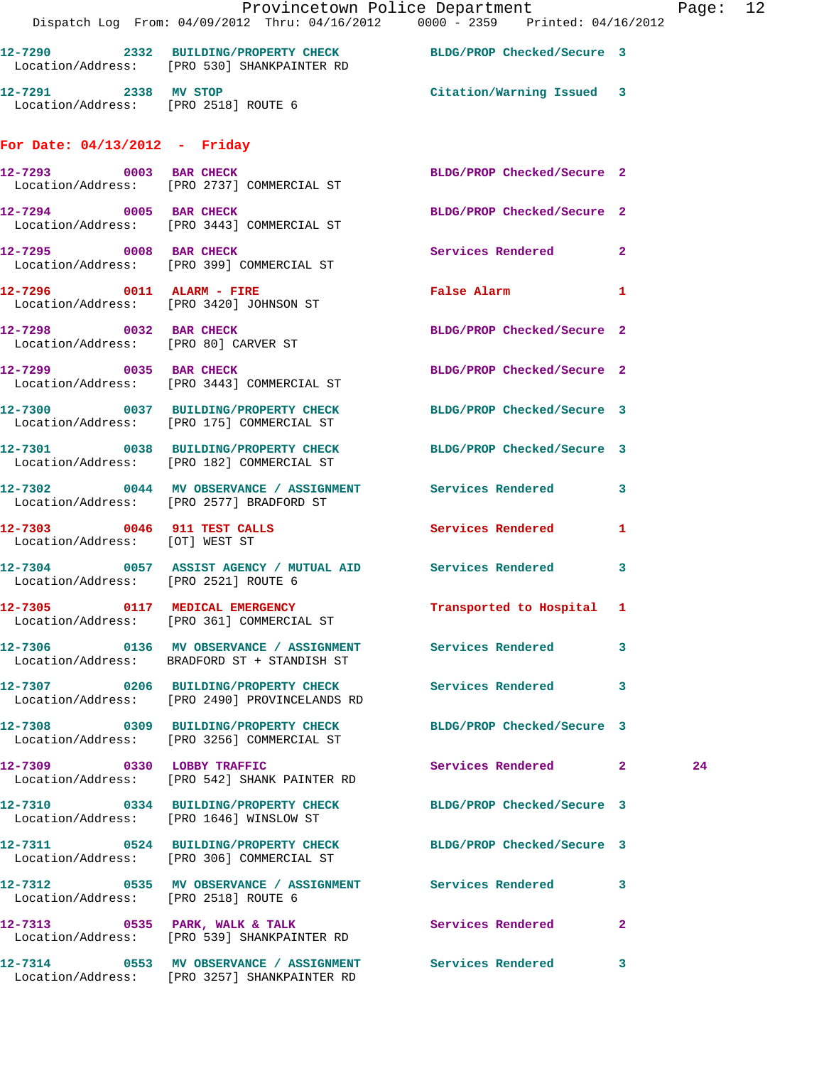|                                      | Provincetown Police Department<br>Dispatch Log From: 04/09/2012 Thru: 04/16/2012 0000 - 2359 Printed: 04/16/2012 |                            | Page: 12 |  |
|--------------------------------------|------------------------------------------------------------------------------------------------------------------|----------------------------|----------|--|
|                                      | 12-7290 2332 BUILDING/PROPERTY CHECK BLDG/PROP Checked/Secure 3<br>Location/Address: [PRO 530] SHANKPAINTER RD   |                            |          |  |
|                                      |                                                                                                                  |                            |          |  |
| For Date: $04/13/2012$ - Friday      |                                                                                                                  |                            |          |  |
|                                      | 12-7293 0003 BAR CHECK BLDG/PROP Checked/Secure 2<br>Location/Address: [PRO 2737] COMMERCIAL ST                  |                            |          |  |
|                                      | 12-7294 0005 BAR CHECK<br>Location/Address: [PRO 3443] COMMERCIAL ST                                             | BLDG/PROP Checked/Secure 2 |          |  |
|                                      | 12-7295 0008 BAR CHECK<br>Location/Address: [PRO 399] COMMERCIAL ST                                              | Services Rendered 2        |          |  |
|                                      | 12-7296 0011 ALARM - FIRE<br>Location/Address: [PRO 3420] JOHNSON ST                                             | False Alarm 1              |          |  |
|                                      | 12-7298 0032 BAR CHECK<br>Location/Address: [PRO 80] CARVER ST                                                   | BLDG/PROP Checked/Secure 2 |          |  |
|                                      | 12-7299 0035 BAR CHECK<br>Location/Address: [PRO 3443] COMMERCIAL ST                                             | BLDG/PROP Checked/Secure 2 |          |  |
|                                      | 12-7300 0037 BUILDING/PROPERTY CHECK BLDG/PROP Checked/Secure 3<br>Location/Address: [PRO 175] COMMERCIAL ST     |                            |          |  |
|                                      | 12-7301 0038 BUILDING/PROPERTY CHECK BLDG/PROP Checked/Secure 3<br>Location/Address: [PRO 182] COMMERCIAL ST     |                            |          |  |
|                                      | 12-7302 0044 MV OBSERVANCE / ASSIGNMENT Services Rendered 3<br>Location/Address: [PRO 2577] BRADFORD ST          |                            |          |  |
| Location/Address: [OT] WEST ST       | 12-7303 0046 911 TEST CALLS Services Rendered 1                                                                  |                            |          |  |
| Location/Address: [PRO 2521] ROUTE 6 | 12-7304 0057 ASSIST AGENCY / MUTUAL AID Services Rendered 3                                                      |                            |          |  |
|                                      | 12-7305 0117 MEDICAL EMERGENCY<br>Location/Address: [PRO 361] COMMERCIAL ST                                      | Transported to Hospital 1  |          |  |
|                                      | Location/Address: BRADFORD ST + STANDISH ST                                                                      |                            |          |  |
|                                      | 12-7307 0206 BUILDING/PROPERTY CHECK Services Rendered 3<br>Location/Address: [PRO 2490] PROVINCELANDS RD        |                            |          |  |
|                                      | 12-7308 0309 BUILDING/PROPERTY CHECK BLDG/PROP Checked/Secure 3<br>Location/Address: [PRO 3256] COMMERCIAL ST    |                            |          |  |
|                                      | 12-7309 0330 LOBBY TRAFFIC<br>Location/Address: [PRO 542] SHANK PAINTER RD                                       | Services Rendered 2        | 24       |  |
|                                      | 12-7310 0334 BUILDING/PROPERTY CHECK BLDG/PROP Checked/Secure 3<br>Location/Address: [PRO 1646] WINSLOW ST       |                            |          |  |
|                                      | 12-7311 0524 BUILDING/PROPERTY CHECK BLDG/PROP Checked/Secure 3<br>Location/Address: [PRO 306] COMMERCIAL ST     |                            |          |  |
| Location/Address: [PRO 2518] ROUTE 6 | 12-7312 0535 MV OBSERVANCE / ASSIGNMENT Services Rendered 3                                                      |                            |          |  |
|                                      | 12-7313 6535 PARK, WALK & TALK 6 Services Rendered 2<br>Location/Address: [PRO 539] SHANKPAINTER RD              |                            |          |  |
|                                      | 12-7314 0553 MV OBSERVANCE / ASSIGNMENT Services Rendered 3<br>Location/Address: [PRO 3257] SHANKPAINTER RD      |                            |          |  |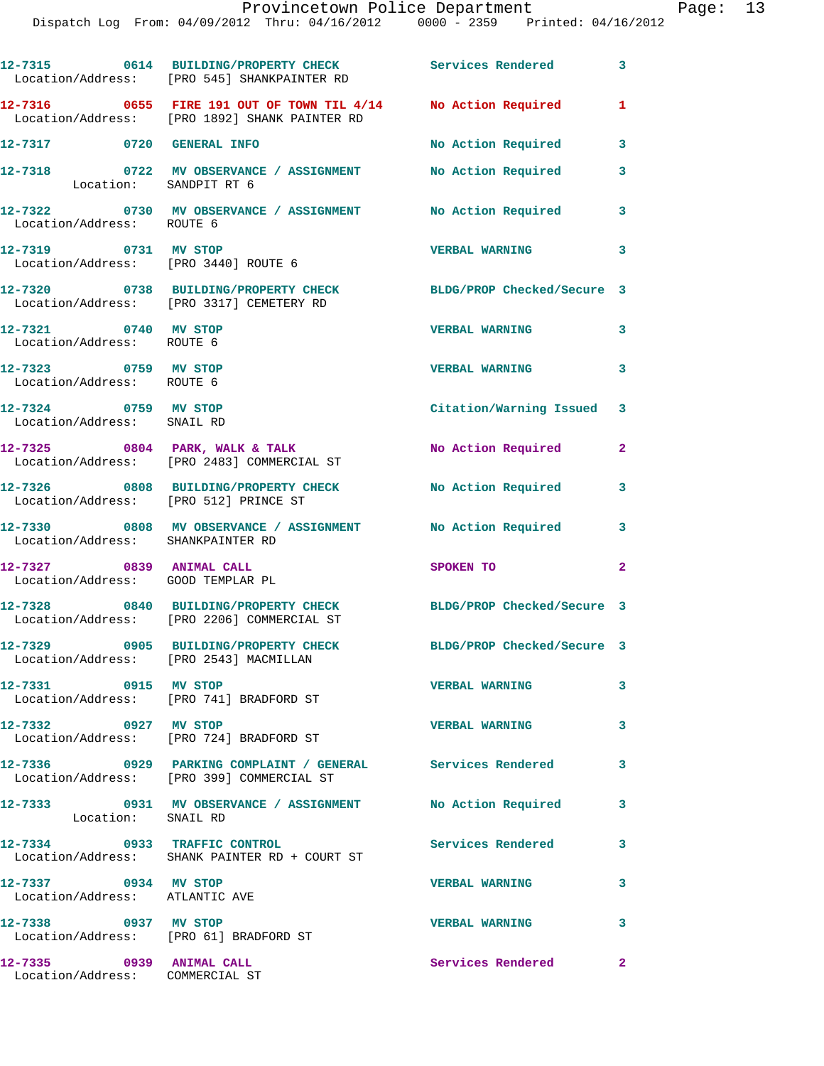|                                                               | 12-7315 0614 BUILDING/PROPERTY CHECK Services Rendered 3<br>Location/Address: [PRO 545] SHANKPAINTER RD                    |                            |                            |
|---------------------------------------------------------------|----------------------------------------------------------------------------------------------------------------------------|----------------------------|----------------------------|
|                                                               | 12-7316      0655 FIRE 191 OUT OF TOWN TIL 4/14     No Action Required<br>Location/Address:    [PRO 1892] SHANK PAINTER RD |                            | $\mathbf{1}$               |
| 12-7317 0720 GENERAL INFO                                     |                                                                                                                            | No Action Required         | 3                          |
| 12-7318<br>Location: SANDPIT RT 6                             | 0722 MV OBSERVANCE / ASSIGNMENT                                                                                            | No Action Required         | 3                          |
| Location/Address: ROUTE 6                                     | 12-7322 0730 MV OBSERVANCE / ASSIGNMENT No Action Required                                                                 |                            | 3                          |
| 12-7319 0731 MV STOP                                          | Location/Address: [PRO 3440] ROUTE 6                                                                                       | <b>VERBAL WARNING</b>      | $\overline{\phantom{a}}$ 3 |
|                                                               | 12-7320 0738 BUILDING/PROPERTY CHECK<br>Location/Address: [PRO 3317] CEMETERY RD                                           | BLDG/PROP Checked/Secure 3 |                            |
| 12-7321 0740 MV STOP<br>Location/Address: ROUTE 6             |                                                                                                                            | <b>VERBAL WARNING</b>      | 3                          |
| 12-7323 0759 MV STOP<br>Location/Address: ROUTE 6             |                                                                                                                            | <b>VERBAL WARNING</b>      | 3                          |
| 12-7324 0759 MV STOP<br>Location/Address: SNAIL RD            |                                                                                                                            | Citation/Warning Issued 3  |                            |
|                                                               | $12-7325$ 0804 PARK, WALK & TALK<br>Location/Address: [PRO 2483] COMMERCIAL ST                                             | No Action Required 2       |                            |
| Location/Address: [PRO 512] PRINCE ST                         | 12-7326 0808 BUILDING/PROPERTY CHECK                                                                                       | No Action Required         | 3                          |
| Location/Address: SHANKPAINTER RD                             | 12-7330 0808 MV OBSERVANCE / ASSIGNMENT No Action Required 3                                                               |                            |                            |
| 12-7327 0839 ANIMAL CALL<br>Location/Address: GOOD TEMPLAR PL |                                                                                                                            | SPOKEN TO                  | $\mathbf{2}$               |
|                                                               | 12-7328 0840 BUILDING/PROPERTY CHECK<br>Location/Address: [PRO 2206] COMMERCIAL ST                                         | BLDG/PROP Checked/Secure 3 |                            |
| Location/Address: [PRO 2543] MACMILLAN                        | 12-7329 0905 BUILDING/PROPERTY CHECK                                                                                       | BLDG/PROP Checked/Secure 3 |                            |
| 12-7331 0915 MV STOP                                          | Location/Address: [PRO 741] BRADFORD ST                                                                                    | <b>VERBAL WARNING</b>      | 3                          |
| 12-7332 0927 MV STOP                                          | Location/Address: [PRO 724] BRADFORD ST                                                                                    | <b>VERBAL WARNING</b>      | 3                          |
|                                                               | 12-7336  0929  PARKING COMPLAINT / GENERAL Services Rendered<br>Location/Address: [PRO 399] COMMERCIAL ST                  |                            | 3                          |
| Location: SNAIL RD                                            | 12-7333 0931 MV OBSERVANCE / ASSIGNMENT No Action Required                                                                 |                            | 3                          |
| 12-7334 0933 TRAFFIC CONTROL                                  | Location/Address: SHANK PAINTER RD + COURT ST                                                                              | Services Rendered          | 3                          |
| 12-7337 0934 MV STOP<br>Location/Address: ATLANTIC AVE        |                                                                                                                            | <b>VERBAL WARNING</b>      | 3                          |
| 12-7338 0937 MV STOP                                          | Location/Address: [PRO 61] BRADFORD ST                                                                                     | <b>VERBAL WARNING</b>      | 3                          |
| 12-7335 0939 ANIMAL CALL<br>Location/Address: COMMERCIAL ST   |                                                                                                                            | Services Rendered          | $\mathbf{2}$               |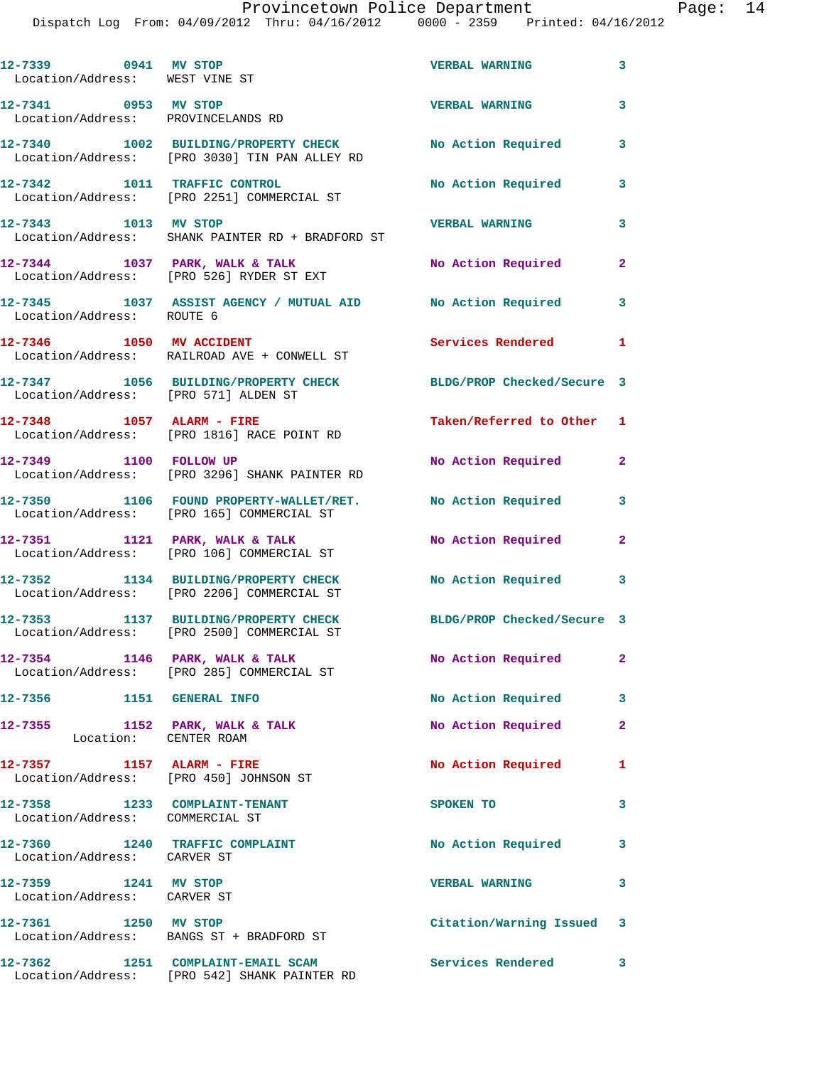Dispatch Log From: 04/09/2012 Thru: 04/16/2012 0000 - 2359 Printed: 04/16/2012

| 12-7339 0941 MV STOP<br>Location/Address: WEST VINE ST              |                                                                                       | <b>VERBAL WARNING</b>      | $\overline{\mathbf{3}}$ |
|---------------------------------------------------------------------|---------------------------------------------------------------------------------------|----------------------------|-------------------------|
| 12-7341 0953 MV STOP<br>Location/Address: PROVINCELANDS RD          |                                                                                       | <b>VERBAL WARNING</b>      | 3                       |
|                                                                     | 12-7340 1002 BUILDING/PROPERTY CHECK<br>Location/Address: [PRO 3030] TIN PAN ALLEY RD | No Action Required         | 3                       |
|                                                                     | 12-7342 1011 TRAFFIC CONTROL<br>Location/Address: [PRO 2251] COMMERCIAL ST            | No Action Required         | 3                       |
| 12-7343 1013 MV STOP                                                | Location/Address: SHANK PAINTER RD + BRADFORD ST                                      | <b>VERBAL WARNING</b>      | 3                       |
|                                                                     | 12-7344 1037 PARK, WALK & TALK<br>Location/Address: [PRO 526] RYDER ST EXT            | <b>No Action Required</b>  | $\mathbf{2}$            |
| Location/Address: ROUTE 6                                           | 12-7345 1037 ASSIST AGENCY / MUTUAL AID No Action Required                            |                            | 3                       |
| 12-7346 1050 MV ACCIDENT                                            | Location/Address: RAILROAD AVE + CONWELL ST                                           | Services Rendered 1        |                         |
| Location/Address: [PRO 571] ALDEN ST                                | 12-7347 1056 BUILDING/PROPERTY CHECK BLDG/PROP Checked/Secure 3                       |                            |                         |
| 12-7348 1057 ALARM - FIRE                                           | Location/Address: [PRO 1816] RACE POINT RD                                            | Taken/Referred to Other 1  |                         |
| 12-7349 1100 FOLLOW UP                                              | Location/Address: [PRO 3296] SHANK PAINTER RD                                         | No Action Required         | 2                       |
|                                                                     | 12-7350 1106 FOUND PROPERTY-WALLET/RET.<br>Location/Address: [PRO 165] COMMERCIAL ST  | No Action Required         | 3                       |
|                                                                     | 12-7351 1121 PARK, WALK & TALK<br>Location/Address: [PRO 106] COMMERCIAL ST           | No Action Required         | $\mathbf{2}$            |
|                                                                     | 12-7352 1134 BUILDING/PROPERTY CHECK<br>Location/Address: [PRO 2206] COMMERCIAL ST    | No Action Required 3       |                         |
|                                                                     | 12-7353 1137 BUILDING/PROPERTY CHECK<br>Location/Address: [PRO 2500] COMMERCIAL ST    | BLDG/PROP Checked/Secure 3 |                         |
| 12-7354 1146 PARK, WALK & TALK                                      | Location/Address: [PRO 285] COMMERCIAL ST                                             | No Action Required         | $\mathbf{2}$            |
| 12-7356 1151 GENERAL INFO                                           |                                                                                       | No Action Required         | 3                       |
| 12-7355<br>Location: CENTER ROAM                                    | 1152 PARK, WALK & TALK                                                                | No Action Required         | $\mathbf{2}$            |
| 12-7357 1157 ALARM - FIRE<br>Location/Address: [PRO 450] JOHNSON ST |                                                                                       | No Action Required         | 1                       |
| 12-7358 1233 COMPLAINT-TENANT<br>Location/Address: COMMERCIAL ST    |                                                                                       | SPOKEN TO                  | 3                       |
| 12-7360 1240 TRAFFIC COMPLAINT<br>Location/Address: CARVER ST       |                                                                                       | No Action Required         | 3                       |
| 12-7359 1241 MV STOP<br>Location/Address: CARVER ST                 |                                                                                       | <b>VERBAL WARNING</b>      | 3                       |
| 12-7361 1250 MV STOP                                                | Location/Address: BANGS ST + BRADFORD ST                                              | Citation/Warning Issued 3  |                         |
| 12-7362                                                             | 1251 COMPLAINT-EMAIL SCAM<br>Location/Address: [PRO 542] SHANK PAINTER RD             | <b>Services Rendered</b>   | 3                       |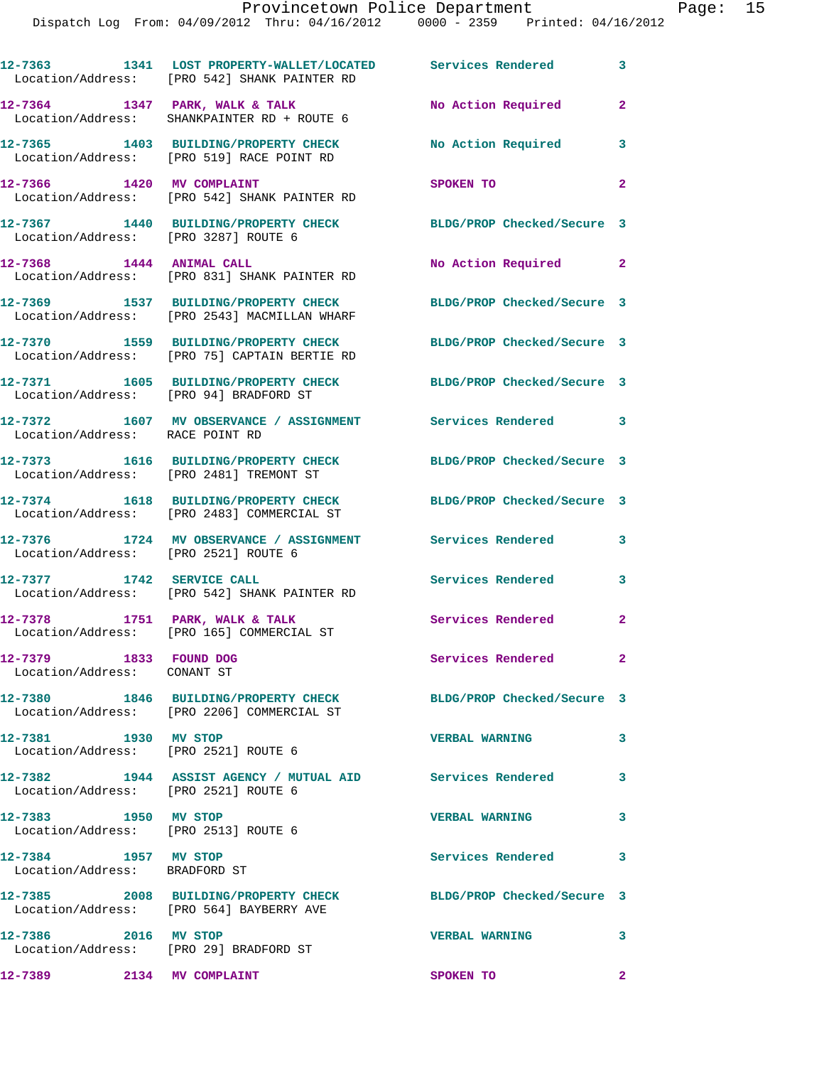|                                                                | 12-7363 1341 LOST PROPERTY-WALLET/LOCATED Services Rendered<br>Location/Address: [PRO 542] SHANK PAINTER RD   |                            | 3              |
|----------------------------------------------------------------|---------------------------------------------------------------------------------------------------------------|----------------------------|----------------|
|                                                                | 12-7364 1347 PARK, WALK & TALK<br>Location/Address: SHANKPAINTER RD + ROUTE 6                                 | No Action Required         | 2              |
|                                                                | 12-7365 1403 BUILDING/PROPERTY CHECK No Action Required<br>Location/Address: [PRO 519] RACE POINT RD          |                            | 3              |
| 12-7366 1420 MV COMPLAINT                                      | Location/Address: [PRO 542] SHANK PAINTER RD                                                                  | SPOKEN TO                  | $\overline{a}$ |
| Location/Address: [PRO 3287] ROUTE 6                           | 12-7367 1440 BUILDING/PROPERTY CHECK BLDG/PROP Checked/Secure 3                                               |                            |                |
| 12-7368 1444 ANIMAL CALL                                       | Location/Address: [PRO 831] SHANK PAINTER RD                                                                  | No Action Required 2       |                |
|                                                                | 12-7369 1537 BUILDING/PROPERTY CHECK<br>Location/Address: [PRO 2543] MACMILLAN WHARF                          | BLDG/PROP Checked/Secure 3 |                |
|                                                                | 12-7370 1559 BUILDING/PROPERTY CHECK<br>Location/Address: [PRO 75] CAPTAIN BERTIE RD                          | BLDG/PROP Checked/Secure 3 |                |
| Location/Address: [PRO 94] BRADFORD ST                         | 12-7371 1605 BUILDING/PROPERTY CHECK                                                                          | BLDG/PROP Checked/Secure 3 |                |
| Location/Address: RACE POINT RD                                | 12-7372 1607 MV OBSERVANCE / ASSIGNMENT Services Rendered 3                                                   |                            |                |
|                                                                | 12-7373 1616 BUILDING/PROPERTY CHECK<br>Location/Address: [PRO 2481] TREMONT ST                               | BLDG/PROP Checked/Secure 3 |                |
|                                                                | 12-7374 1618 BUILDING/PROPERTY CHECK BLDG/PROP Checked/Secure 3<br>Location/Address: [PRO 2483] COMMERCIAL ST |                            |                |
|                                                                | 12-7376   1724 MV OBSERVANCE / ASSIGNMENT   Services Rendered<br>Location/Address: [PRO 2521] ROUTE 6         |                            | 3              |
| 12-7377 1742 SERVICE CALL                                      | Location/Address: [PRO 542] SHANK PAINTER RD                                                                  | Services Rendered          | 3              |
|                                                                | 12-7378 1751 PARK, WALK & TALK<br>Location/Address: [PRO 165] COMMERCIAL ST                                   | Services Rendered          | $\overline{a}$ |
| 12-7379 1833 FOUND DOG<br>Location/Address: CONANT ST          |                                                                                                               | Services Rendered          | $\mathbf{2}$   |
|                                                                | 12-7380 1846 BUILDING/PROPERTY CHECK<br>Location/Address: [PRO 2206] COMMERCIAL ST                            | BLDG/PROP Checked/Secure 3 |                |
| 12-7381 1930 MV STOP                                           | Location/Address: [PRO 2521] ROUTE 6                                                                          | <b>VERBAL WARNING</b>      | 3              |
| Location/Address: [PRO 2521] ROUTE 6                           | 12-7382 1944 ASSIST AGENCY / MUTUAL AID Services Rendered                                                     |                            | 3              |
| 12-7383 1950 MV STOP<br>Location/Address: [PRO 2513] ROUTE 6   |                                                                                                               | <b>VERBAL WARNING</b>      | 3              |
| 12-7384 1957 MV STOP<br>Location/Address: BRADFORD ST          |                                                                                                               | Services Rendered          | 3              |
|                                                                | 12-7385 2008 BUILDING/PROPERTY CHECK<br>Location/Address: [PRO 564] BAYBERRY AVE                              | BLDG/PROP Checked/Secure 3 |                |
| 12-7386 2016 MV STOP<br>Location/Address: [PRO 29] BRADFORD ST |                                                                                                               | <b>VERBAL WARNING</b>      | 3              |
| 12-7389 2134 MV COMPLAINT                                      |                                                                                                               | SPOKEN TO                  | $\mathbf{2}$   |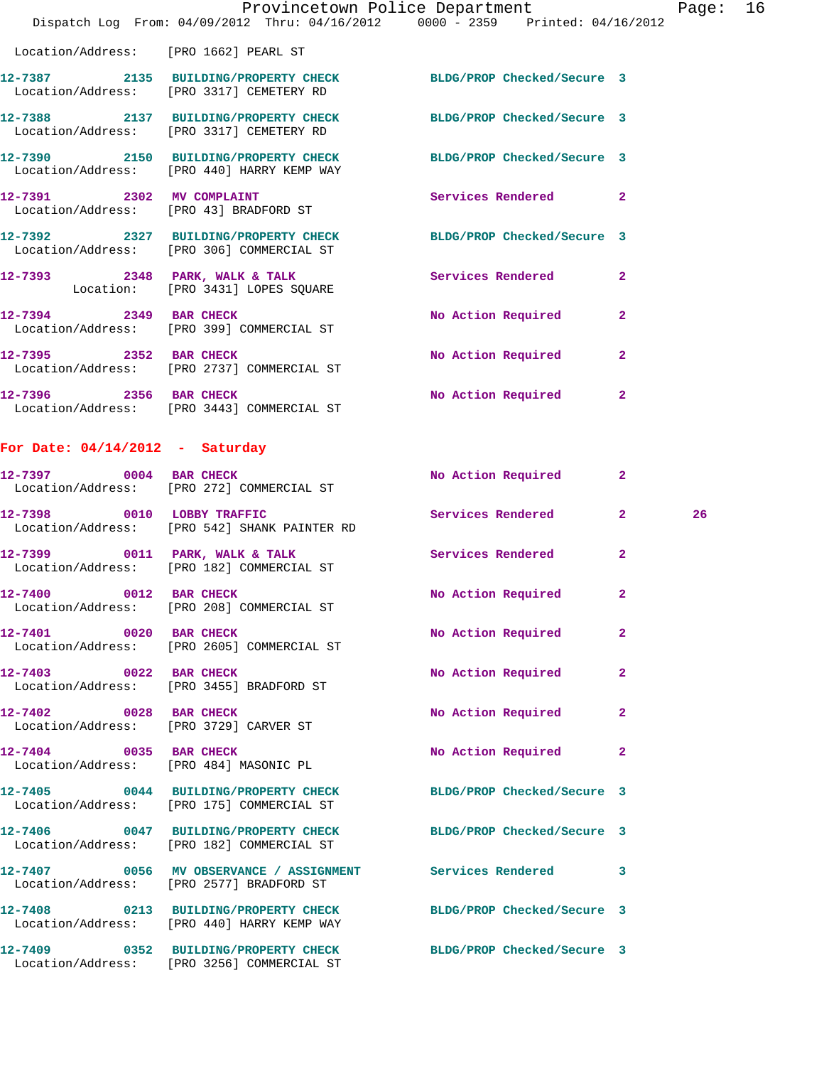|                                       | Dispatch Log From: 04/09/2012 Thru: 04/16/2012 0000 - 2359 Printed: 04/16/2012                                |                    |                |
|---------------------------------------|---------------------------------------------------------------------------------------------------------------|--------------------|----------------|
| Location/Address: [PRO 1662] PEARL ST |                                                                                                               |                    |                |
|                                       | 12-7387 2135 BUILDING/PROPERTY CHECK BLDG/PROP Checked/Secure 3<br>Location/Address: [PRO 3317] CEMETERY RD   |                    |                |
|                                       | 12-7388 2137 BUILDING/PROPERTY CHECK BLDG/PROP Checked/Secure 3<br>Location/Address: [PRO 3317] CEMETERY RD   |                    |                |
|                                       | 12-7390 2150 BUILDING/PROPERTY CHECK BLDG/PROP Checked/Secure 3<br>Location/Address: [PRO 440] HARRY KEMP WAY |                    |                |
|                                       | 12-7391 2302 MV COMPLAINT<br>Location/Address: [PRO 43] BRADFORD ST                                           | Services Rendered  | $\overline{2}$ |
|                                       | 12-7392 2327 BUILDING/PROPERTY CHECK BLDG/PROP Checked/Secure 3<br>Location/Address: [PRO 306] COMMERCIAL ST  |                    |                |
|                                       | 12-7393 2348 PARK, WALK & TALK 2008 Services Rendered<br>Location: [PRO 3431] LOPES SOUARE                    |                    | $\overline{2}$ |
|                                       | 12-7394 2349 BAR CHECK<br>Location/Address: [PRO 399] COMMERCIAL ST                                           | No Action Required | $\overline{2}$ |
|                                       | 12-7395 2352 BAR CHECK<br>Location/Address: [PRO 2737] COMMERCIAL ST                                          | No Action Required | $\overline{2}$ |
| 12-7396 2356 BAR CHECK                | Location/Address: [PRO 3443] COMMERCIAL ST                                                                    | No Action Required | $\overline{2}$ |

Provincetown Police Department Page: 16

## **For Date: 04/14/2012 - Saturday**

Location/Address: [PRO 3256] COMMERCIAL ST

| 12-7397 0004 BAR CHECK                                           | Location/Address: [PRO 272] COMMERCIAL ST                                                                     | No Action Required         | $\overline{2}$ |    |
|------------------------------------------------------------------|---------------------------------------------------------------------------------------------------------------|----------------------------|----------------|----|
| 12-7398 0010 LOBBY TRAFFIC                                       | Location/Address: [PRO 542] SHANK PAINTER RD                                                                  | Services Rendered          | $\overline{2}$ | 26 |
|                                                                  | 12-7399 0011 PARK, WALK & TALK<br>Location/Address: [PRO 182] COMMERCIAL ST                                   | Services Rendered          | $\overline{2}$ |    |
| 12-7400 0012 BAR CHECK                                           | Location/Address: [PRO 208] COMMERCIAL ST                                                                     | No Action Required         | $\overline{2}$ |    |
| 12-7401 0020 BAR CHECK                                           | Location/Address: [PRO 2605] COMMERCIAL ST                                                                    | No Action Required         | $\overline{2}$ |    |
| 12-7403 0022 BAR CHECK                                           | Location/Address: [PRO 3455] BRADFORD ST                                                                      | No Action Required         | $\overline{2}$ |    |
| 12-7402 0028 BAR CHECK                                           | Location/Address: [PRO 3729] CARVER ST                                                                        | No Action Required         | $\overline{2}$ |    |
| 12-7404 0035 BAR CHECK<br>Location/Address: [PRO 484] MASONIC PL |                                                                                                               | No Action Required         | $\mathbf{2}$   |    |
|                                                                  | 12-7405 0044 BUILDING/PROPERTY CHECK<br>Location/Address: [PRO 175] COMMERCIAL ST                             | BLDG/PROP Checked/Secure 3 |                |    |
|                                                                  | 12-7406 0047 BUILDING/PROPERTY CHECK<br>Location/Address: [PRO 182] COMMERCIAL ST                             | BLDG/PROP Checked/Secure 3 |                |    |
|                                                                  | 12-7407 0056 MV OBSERVANCE / ASSIGNMENT Services Rendered 3<br>Location/Address: [PRO 2577] BRADFORD ST       |                            |                |    |
|                                                                  | 12-7408 0213 BUILDING/PROPERTY CHECK BLDG/PROP Checked/Secure 3<br>Location/Address: [PRO 440] HARRY KEMP WAY |                            |                |    |
|                                                                  | 12-7409 0352 BUILDING/PROPERTY CHECK BLDG/PROP Checked/Secure 3                                               |                            |                |    |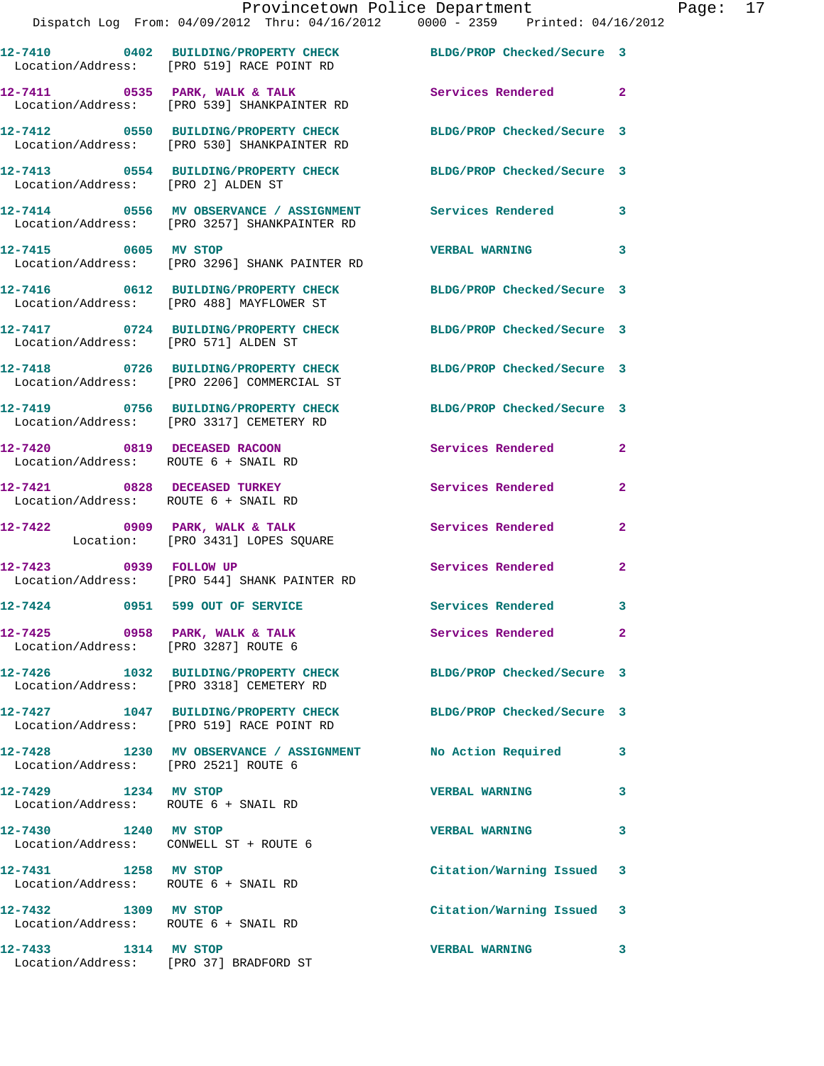|                                                                        | Provincetown Police Department<br>Dispatch Log From: 04/09/2012 Thru: 04/16/2012 0000 - 2359 Printed: 04/16/2012 |                            |                |
|------------------------------------------------------------------------|------------------------------------------------------------------------------------------------------------------|----------------------------|----------------|
|                                                                        | 12-7410 0402 BUILDING/PROPERTY CHECK BLDG/PROP Checked/Secure 3<br>Location/Address: [PRO 519] RACE POINT RD     |                            |                |
|                                                                        | $12-7411$ 0535 PARK, WALK & TALK<br>Location/Address: [PRO 539] SHANKPAINTER RD                                  | Services Rendered          | $\overline{2}$ |
|                                                                        | 12-7412 0550 BUILDING/PROPERTY CHECK BLDG/PROP Checked/Secure 3<br>Location/Address: [PRO 530] SHANKPAINTER RD   |                            |                |
| Location/Address: [PRO 2] ALDEN ST                                     | 12-7413 0554 BUILDING/PROPERTY CHECK BLDG/PROP Checked/Secure 3                                                  |                            |                |
|                                                                        | 12-7414 0556 MV OBSERVANCE / ASSIGNMENT Services Rendered<br>Location/Address: [PRO 3257] SHANKPAINTER RD        |                            | 3              |
| 12-7415 0605 MV STOP                                                   | Location/Address: [PRO 3296] SHANK PAINTER RD                                                                    | <b>VERBAL WARNING</b>      | 3              |
|                                                                        | 12-7416 0612 BUILDING/PROPERTY CHECK BLDG/PROP Checked/Secure 3<br>Location/Address: [PRO 488] MAYFLOWER ST      |                            |                |
| Location/Address: [PRO 571] ALDEN ST                                   | 12-7417 0724 BUILDING/PROPERTY CHECK BLDG/PROP Checked/Secure 3                                                  |                            |                |
|                                                                        | 12-7418 0726 BUILDING/PROPERTY CHECK<br>Location/Address: [PRO 2206] COMMERCIAL ST                               | BLDG/PROP Checked/Secure 3 |                |
|                                                                        | 12-7419 0756 BUILDING/PROPERTY CHECK BLDG/PROP Checked/Secure 3<br>Location/Address: [PRO 3317] CEMETERY RD      |                            |                |
| 12-7420 0819 DECEASED RACOON<br>Location/Address: ROUTE 6 + SNAIL RD   |                                                                                                                  | Services Rendered          | $\mathbf{2}$   |
| 12-7421 0828 DECEASED TURKEY<br>Location/Address: ROUTE 6 + SNAIL RD   |                                                                                                                  | Services Rendered          | $\mathbf{2}$   |
|                                                                        | $12-7422$ 0909 PARK, WALK & TALK<br>Location: [PRO 3431] LOPES SQUARE                                            | Services Rendered          | $\mathbf{2}$   |
| 12-7423 0939 FOLLOW UP                                                 | Location/Address: [PRO 544] SHANK PAINTER RD                                                                     | Services Rendered          | $\mathbf{2}$   |
| 12-7424 0951 599 OUT OF SERVICE                                        |                                                                                                                  | Services Rendered          | 3              |
| 12-7425 0958 PARK, WALK & TALK<br>Location/Address: [PRO 3287] ROUTE 6 |                                                                                                                  | Services Rendered          | $\mathbf{2}$   |
|                                                                        | 12-7426 1032 BUILDING/PROPERTY CHECK<br>Location/Address: [PRO 3318] CEMETERY RD                                 | BLDG/PROP Checked/Secure 3 |                |
|                                                                        | 12-7427 1047 BUILDING/PROPERTY CHECK<br>Location/Address: [PRO 519] RACE POINT RD                                | BLDG/PROP Checked/Secure 3 |                |
| Location/Address: [PRO 2521] ROUTE 6                                   | 12-7428 1230 MV OBSERVANCE / ASSIGNMENT                                                                          | No Action Required         | 3              |
| 12-7429 1234 MV STOP<br>Location/Address: ROUTE 6 + SNAIL RD           |                                                                                                                  | <b>VERBAL WARNING</b>      | 3              |
| 12-7430 1240 MV STOP<br>Location/Address: CONWELL ST + ROUTE 6         |                                                                                                                  | <b>VERBAL WARNING</b>      | 3              |
| 12-7431 1258 MV STOP<br>Location/Address: ROUTE 6 + SNAIL RD           |                                                                                                                  | Citation/Warning Issued    | 3              |
| 12-7432 1309 MV STOP<br>Location/Address: ROUTE 6 + SNAIL RD           |                                                                                                                  | Citation/Warning Issued    | 3              |
|                                                                        |                                                                                                                  | <b>VERBAL WARNING</b>      | 3              |

Location/Address: [PRO 37] BRADFORD ST

Page:  $17$ <br> $12$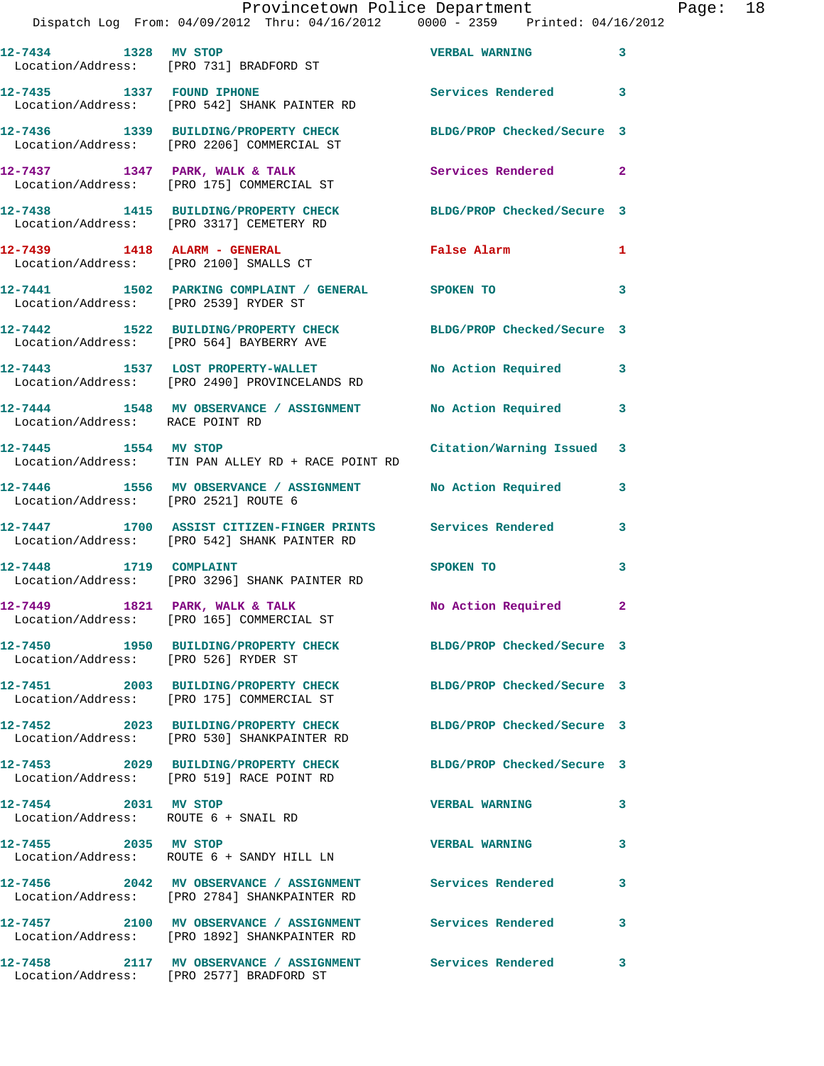Page:  $18$ <br>2012

|                                                              | Provincetown Police Department<br>Dispatch Log From: 04/09/2012 Thru: 04/16/2012 0000 - 2359 Printed: 04/16/2012 |                            |              |
|--------------------------------------------------------------|------------------------------------------------------------------------------------------------------------------|----------------------------|--------------|
|                                                              |                                                                                                                  | <b>VERBAL WARNING</b>      | 3            |
| 12-7435 1337 FOUND IPHONE                                    | Location/Address: [PRO 542] SHANK PAINTER RD                                                                     | <b>Services Rendered</b>   | 3            |
|                                                              | 12-7436 1339 BUILDING/PROPERTY CHECK<br>Location/Address: [PRO 2206] COMMERCIAL ST                               | BLDG/PROP Checked/Secure 3 |              |
|                                                              | $12-7437$ $1347$ PARK, WALK & TALK<br>Location/Address: [PRO 175] COMMERCIAL ST                                  | <b>Services Rendered</b>   | $\mathbf{2}$ |
|                                                              | 12-7438 1415 BUILDING/PROPERTY CHECK<br>Location/Address: [PRO 3317] CEMETERY RD                                 | BLDG/PROP Checked/Secure 3 |              |
|                                                              | 12-7439    1418    ALARM - GENERAL<br>Location/Address: [PRO 2100] SMALLS CT                                     | False Alarm                | 1            |
| Location/Address: [PRO 2539] RYDER ST                        | 12-7441 1502 PARKING COMPLAINT / GENERAL SPOKEN TO                                                               |                            | 3            |
|                                                              | 12-7442 1522 BUILDING/PROPERTY CHECK<br>Location/Address: [PRO 564] BAYBERRY AVE                                 | BLDG/PROP Checked/Secure 3 |              |
|                                                              | 12-7443 1537 LOST PROPERTY-WALLET<br>Location/Address: [PRO 2490] PROVINCELANDS RD                               | <b>No Action Required</b>  | 3            |
| Location/Address: RACE POINT RD                              | 12-7444 1548 MV OBSERVANCE / ASSIGNMENT                                                                          | No Action Required         | 3            |
| 12-7445 1554 MV STOP                                         | Location/Address: TIN PAN ALLEY RD + RACE POINT RD                                                               | Citation/Warning Issued    | 3            |
| Location/Address: [PRO 2521] ROUTE 6                         | 12-7446 1556 MV OBSERVANCE / ASSIGNMENT No Action Required                                                       |                            | 3            |
|                                                              | 12-7447 1700 ASSIST CITIZEN-FINGER PRINTS Services Rendered<br>Location/Address: [PRO 542] SHANK PAINTER RD      |                            | 3            |
| 12-7448 1719 COMPLAINT                                       | Location/Address: [PRO 3296] SHANK PAINTER RD                                                                    | <b>SPOKEN TO</b>           | 3            |
| 12-7449 1821 PARK, WALK & TALK                               | Location/Address: [PRO 165] COMMERCIAL ST                                                                        | No Action Required         |              |
| Location/Address: [PRO 526] RYDER ST                         | 12-7450 1950 BUILDING/PROPERTY CHECK                                                                             | BLDG/PROP Checked/Secure 3 |              |
|                                                              | 12-7451 2003 BUILDING/PROPERTY CHECK<br>Location/Address: [PRO 175] COMMERCIAL ST                                | BLDG/PROP Checked/Secure 3 |              |
|                                                              | 12-7452 2023 BUILDING/PROPERTY CHECK<br>Location/Address: [PRO 530] SHANKPAINTER RD                              | BLDG/PROP Checked/Secure 3 |              |
|                                                              | 12-7453 2029 BUILDING/PROPERTY CHECK<br>Location/Address: [PRO 519] RACE POINT RD                                | BLDG/PROP Checked/Secure 3 |              |
| 12-7454 2031 MV STOP<br>Location/Address: ROUTE 6 + SNAIL RD |                                                                                                                  | <b>VERBAL WARNING</b>      | 3            |
| 12-7455 2035 MV STOP                                         | Location/Address: ROUTE 6 + SANDY HILL LN                                                                        | <b>VERBAL WARNING</b>      | 3            |
|                                                              | 12-7456  2042 MV OBSERVANCE / ASSIGNMENT Services Rendered<br>Location/Address: [PRO 2784] SHANKPAINTER RD       |                            | 3            |
|                                                              | 12-7457 2100 MV OBSERVANCE / ASSIGNMENT<br>Location/Address: [PRO 1892] SHANKPAINTER RD                          | <b>Services Rendered</b>   | 3            |
|                                                              | 12-7458 2117 MV OBSERVANCE / ASSIGNMENT Services Rendered<br>Location/Address: [PRO 2577] BRADFORD ST            |                            | 3            |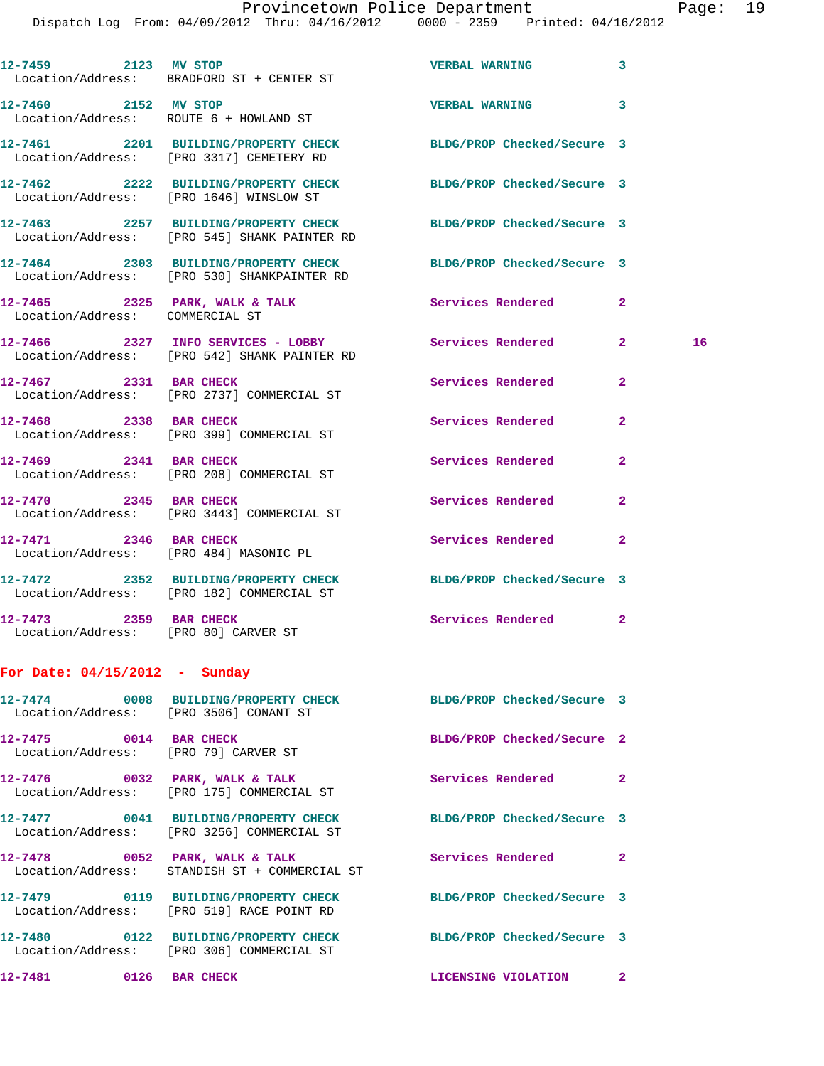| Location/Address: BRADFORD ST + CENTER ST                                         | 12-7459 2123 MV STOP                                                            | <b>VERBAL WARNING</b>      | 3                  |
|-----------------------------------------------------------------------------------|---------------------------------------------------------------------------------|----------------------------|--------------------|
| 12-7460 2152 MV STOP<br>Location/Address: ROUTE 6 + HOWLAND ST                    |                                                                                 | VERBAL WARNING 3           |                    |
| 12-7461 2201 BUILDING/PROPERTY CHECK<br>Location/Address: [PRO 3317] CEMETERY RD  |                                                                                 | BLDG/PROP Checked/Secure 3 |                    |
| Location/Address: [PRO 1646] WINSLOW ST                                           | 12-7462 2222 BUILDING/PROPERTY CHECK BLDG/PROP Checked/Secure 3                 |                            |                    |
| Location/Address: [PRO 545] SHANK PAINTER RD                                      | 12-7463 2257 BUILDING/PROPERTY CHECK                                            | BLDG/PROP Checked/Secure 3 |                    |
| Location/Address: [PRO 530] SHANKPAINTER RD                                       | 12-7464 2303 BUILDING/PROPERTY CHECK BLDG/PROP Checked/Secure 3                 |                            |                    |
| 12-7465 2325 PARK, WALK & TALK<br>Location/Address: COMMERCIAL ST                 |                                                                                 | <b>Services Rendered</b>   | $\mathbf{2}$       |
| Location/Address: [PRO 542] SHANK PAINTER RD                                      | 12-7466 2327 INFO SERVICES - LOBBY Services Rendered                            |                            | $\mathbf{2}$<br>16 |
| 12-7467 2331 BAR CHECK<br>Location/Address: [PRO 2737] COMMERCIAL ST              |                                                                                 | <b>Services Rendered</b>   | $\mathbf{2}$       |
| 12-7468 2338 BAR CHECK<br>Location/Address: [PRO 399] COMMERCIAL ST               |                                                                                 | Services Rendered          | $\mathbf{2}$       |
| 12-7469 2341 BAR CHECK<br>Location/Address: [PRO 208] COMMERCIAL ST               |                                                                                 | Services Rendered          | $\mathbf{2}$       |
| 12-7470 2345 BAR CHECK<br>Location/Address: [PRO 3443] COMMERCIAL ST              |                                                                                 | Services Rendered          | $\mathbf{2}$       |
| 12-7471 2346 BAR CHECK<br>Location/Address: [PRO 484] MASONIC PL                  |                                                                                 | Services Rendered          | 2                  |
| 12-7472 2352 BUILDING/PROPERTY CHECK<br>Location/Address: [PRO 182] COMMERCIAL ST |                                                                                 | BLDG/PROP Checked/Secure 3 |                    |
| 12-7473 2359 BAR CHECK<br>Location/Address: [PRO 80] CARVER ST                    |                                                                                 | Services Rendered          | $\mathbf{2}$       |
| For Date: $04/15/2012$ - Sunday                                                   |                                                                                 |                            |                    |
| Location/Address: [PRO 3506] CONANT ST                                            | 12-7474 0008 BUILDING/PROPERTY CHECK BLDG/PROP Checked/Secure 3                 |                            |                    |
| 12-7475 0014 BAR CHECK<br>Location/Address: [PRO 79] CARVER ST                    |                                                                                 | BLDG/PROP Checked/Secure 2 |                    |
| 12-7476 0032 PARK, WALK & TALK<br>Location/Address: [PRO 175] COMMERCIAL ST       |                                                                                 | Services Rendered          | $\mathbf{2}$       |
| Location/Address: [PRO 3256] COMMERCIAL ST                                        | 12-7477 0041 BUILDING/PROPERTY CHECK BLDG/PROP Checked/Secure 3                 |                            |                    |
|                                                                                   | 12-7478 0052 PARK, WALK & TALK<br>Location/Address: STANDISH ST + COMMERCIAL ST | Services Rendered 2        |                    |
| Location/Address: [PRO 519] RACE POINT RD                                         | 12-7479 0119 BUILDING/PROPERTY CHECK                                            | BLDG/PROP Checked/Secure 3 |                    |
| Location/Address: [PRO 306] COMMERCIAL ST                                         | 12-7480 0122 BUILDING/PROPERTY CHECK BLDG/PROP Checked/Secure 3                 |                            |                    |
| 12-7481 0126 BAR CHECK                                                            |                                                                                 | LICENSING VIOLATION 2      |                    |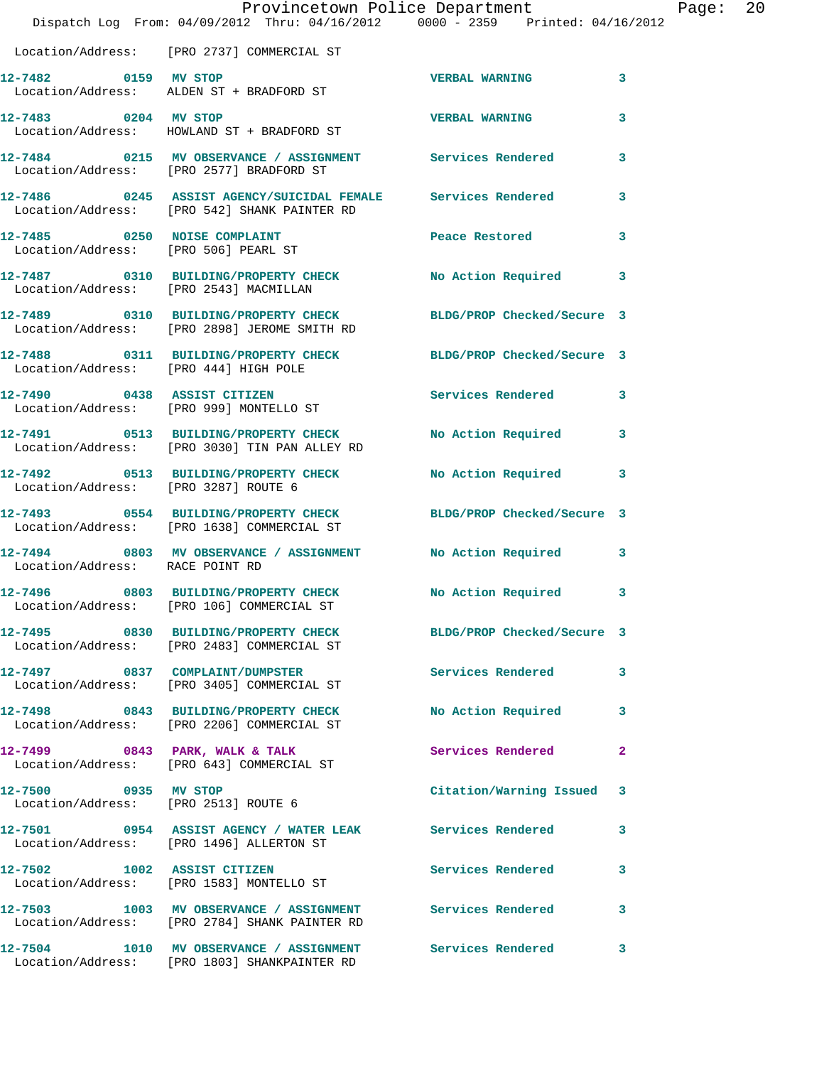|                                       | Provincetown Police Department<br>Dispatch Log From: 04/09/2012 Thru: 04/16/2012 0000 - 2359 Printed: 04/16/2012 |                                       |   | Page: 20 |  |
|---------------------------------------|------------------------------------------------------------------------------------------------------------------|---------------------------------------|---|----------|--|
|                                       | Location/Address: [PRO 2737] COMMERCIAL ST                                                                       |                                       |   |          |  |
|                                       | 12-7482 0159 MV STOP<br>Location/Address: ALDEN ST + BRADFORD ST                                                 | <b>VERBAL WARNING</b>                 | 3 |          |  |
| 12-7483 0204 MV STOP                  | Location/Address: HOWLAND ST + BRADFORD ST                                                                       | <b>VERBAL WARNING</b>                 | 3 |          |  |
|                                       | 12-7484 0215 MV OBSERVANCE / ASSIGNMENT Services Rendered<br>Location/Address: [PRO 2577] BRADFORD ST            |                                       | 3 |          |  |
|                                       | 12-7486 0245 ASSIST AGENCY/SUICIDAL FEMALE Services Rendered<br>Location/Address: [PRO 542] SHANK PAINTER RD     |                                       | 3 |          |  |
|                                       | 12-7485 0250 NOISE COMPLAINT<br>Location/Address: [PRO 506] PEARL ST                                             | Peace Restored and the Peace Restored | 3 |          |  |
|                                       | 12-7487 0310 BUILDING/PROPERTY CHECK No Action Required 3<br>Location/Address: [PRO 2543] MACMILLAN              |                                       |   |          |  |
|                                       | 12-7489 0310 BUILDING/PROPERTY CHECK BLDG/PROP Checked/Secure 3<br>Location/Address: [PRO 2898] JEROME SMITH RD  |                                       |   |          |  |
| Location/Address: [PRO 444] HIGH POLE | 12-7488 0311 BUILDING/PROPERTY CHECK BLDG/PROP Checked/Secure 3                                                  |                                       |   |          |  |
|                                       | 12-7490 0438 ASSIST CITIZEN<br>Location/Address: [PRO 999] MONTELLO ST                                           | Services Rendered 3                   |   |          |  |
|                                       | 12-7491 0513 BUILDING/PROPERTY CHECK<br>Location/Address: [PRO 3030] TIN PAN ALLEY RD                            | No Action Required 3                  |   |          |  |
| Location/Address: [PRO 3287] ROUTE 6  | 12-7492 0513 BUILDING/PROPERTY CHECK                                                                             | No Action Required 3                  |   |          |  |
|                                       | 12-7493 0554 BUILDING/PROPERTY CHECK BLDG/PROP Checked/Secure 3<br>Location/Address: [PRO 1638] COMMERCIAL ST    |                                       |   |          |  |
| Location/Address: RACE POINT RD       | 12-7494 0803 MV OBSERVANCE / ASSIGNMENT No Action Required 3                                                     |                                       |   |          |  |
|                                       | Location/Address: [PRO 106] COMMERCIAL ST                                                                        | No Action Required                    | 3 |          |  |
|                                       | 12-7495 0830 BUILDING/PROPERTY CHECK BLDG/PROP Checked/Secure 3<br>Location/Address: [PRO 2483] COMMERCIAL ST    |                                       |   |          |  |
|                                       | 12-7497 0837 COMPLAINT/DUMPSTER<br>Location/Address: [PRO 3405] COMMERCIAL ST                                    | Services Rendered                     | 3 |          |  |
|                                       | 12-7498 0843 BUILDING/PROPERTY CHECK<br>Location/Address: [PRO 2206] COMMERCIAL ST                               | No Action Required                    | 3 |          |  |
|                                       | $12-7499$ 0843 PARK, WALK & TALK<br>Location/Address: [PRO 643] COMMERCIAL ST                                    | Services Rendered                     | 2 |          |  |
| 12-7500 0935 MV STOP                  | Location/Address: [PRO 2513] ROUTE 6                                                                             | Citation/Warning Issued 3             |   |          |  |
|                                       | 12-7501 0954 ASSIST AGENCY / WATER LEAK Services Rendered<br>Location/Address: [PRO 1496] ALLERTON ST            |                                       | 3 |          |  |
|                                       | 12-7502 1002 ASSIST CITIZEN<br>Location/Address: [PRO 1583] MONTELLO ST                                          | Services Rendered                     | 3 |          |  |
|                                       | 12-7503 1003 MV OBSERVANCE / ASSIGNMENT Services Rendered<br>Location/Address: [PRO 2784] SHANK PAINTER RD       |                                       | 3 |          |  |
|                                       | 12-7504 1010 MV OBSERVANCE / ASSIGNMENT Services Rendered 3                                                      |                                       |   |          |  |

Location/Address: [PRO 1803] SHANKPAINTER RD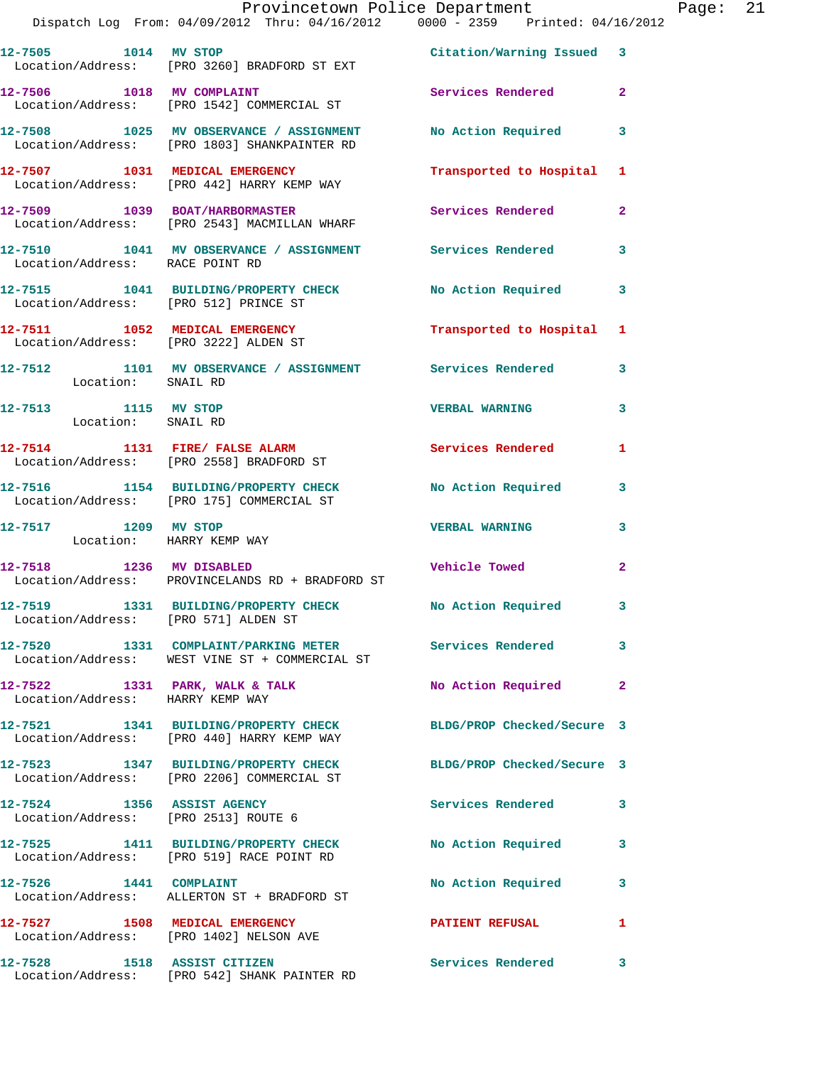|                                                  | Provincetown Police Department The Rage: 21<br>Dispatch Log From: 04/09/2012 Thru: 04/16/2012   0000 - 2359   Printed: 04/16/2012 |                         |              |  |
|--------------------------------------------------|-----------------------------------------------------------------------------------------------------------------------------------|-------------------------|--------------|--|
|                                                  | 12-7505 1014 MV STOP 100 2011 212-7505 2010 1014 2021<br>Location/Address: [PRO 3260] BRADFORD ST EXT                             |                         |              |  |
|                                                  | 12-7506 1018 MV COMPLAINT Services Rendered 2<br>Location/Address: [PRO 1542] COMMERCIAL ST                                       |                         |              |  |
|                                                  | 12-7508 1025 MV OBSERVANCE / ASSIGNMENT No Action Required 3<br>Location/Address: [PRO 1803] SHANKPAINTER RD                      |                         |              |  |
|                                                  | 12-7507 1031 MEDICAL EMERGENCY Transported to Hospital 1<br>Location/Address: [PRO 442] HARRY KEMP WAY                            |                         |              |  |
|                                                  | 12-7509 1039 BOAT/HARBORMASTER<br>Location/Address: [PRO 2543] MACMILLAN WHARF                                                    | Services Rendered 2     |              |  |
| Location/Address: RACE POINT RD                  | 12-7510 1041 MV OBSERVANCE / ASSIGNMENT Services Rendered                                                                         |                         | 3            |  |
|                                                  | 12-7515 1041 BUILDING/PROPERTY CHECK No Action Required 3<br>Location/Address: [PRO 512] PRINCE ST                                |                         |              |  |
|                                                  | 12-7511 1052 MEDICAL EMERGENCY Transported to Hospital 1<br>Location/Address: [PRO 3222] ALDEN ST                                 |                         |              |  |
| Location: SNAIL RD                               | 12-7512 1101 MV OBSERVANCE / ASSIGNMENT Services Rendered 3                                                                       |                         |              |  |
| 12-7513 1115 MV STOP<br>Location: SNAIL RD       |                                                                                                                                   | <b>VERBAL WARNING</b>   | 3            |  |
|                                                  | 12-7514 1131 FIRE/ FALSE ALARM 5ervices Rendered 1<br>Location/Address: [PRO 2558] BRADFORD ST                                    |                         |              |  |
|                                                  | 12-7516 1154 BUILDING/PROPERTY CHECK No Action Required 3<br>Location/Address: [PRO 175] COMMERCIAL ST                            |                         |              |  |
| 12-7517 1209 MV STOP<br>Location: HARRY KEMP WAY |                                                                                                                                   | <b>VERBAL WARNING 3</b> |              |  |
|                                                  | 12-7518 1236 MV DISABLED <b>12.12 Vehicle Towed</b><br>Location/Address: PROVINCELANDS RD + BRADFORD ST                           |                         | $\mathbf{2}$ |  |
| Location/Address: [PRO 571] ALDEN ST             | 12-7519 1331 BUILDING/PROPERTY CHECK No Action Required                                                                           |                         |              |  |
|                                                  | 12-7520 1331 COMPLAINT/PARKING METER Services Rendered<br>Location/Address: WEST VINE ST + COMMERCIAL ST                          |                         | 3            |  |
| Location/Address: HARRY KEMP WAY                 | 12-7522 1331 PARK, WALK & TALK                                                                                                    | No Action Required      | $\mathbf{2}$ |  |
|                                                  | 12-7521 1341 BUILDING/PROPERTY CHECK BLDG/PROP Checked/Secure 3<br>Location/Address: [PRO 440] HARRY KEMP WAY                     |                         |              |  |
|                                                  | 12-7523 1347 BUILDING/PROPERTY CHECK BLDG/PROP Checked/Secure 3<br>Location/Address: [PRO 2206] COMMERCIAL ST                     |                         |              |  |
| Location/Address: [PRO 2513] ROUTE 6             | 12-7524 1356 ASSIST AGENCY                                                                                                        | Services Rendered       | 3            |  |
|                                                  | 12-7525 1411 BUILDING/PROPERTY CHECK No Action Required 3<br>Location/Address: [PRO 519] RACE POINT RD                            |                         |              |  |
|                                                  | 12-7526 1441 COMPLAINT<br>Location/Address: ALLERTON ST + BRADFORD ST                                                             | No Action Required      | 3            |  |
|                                                  | 12-7527 1508 MEDICAL EMERGENCY<br>Location/Address: [PRO 1402] NELSON AVE                                                         | <b>PATIENT REFUSAL</b>  | 1            |  |
| 12-7528                                          | 1518 ASSIST CITIZEN                                                                                                               | Services Rendered 3     |              |  |

Location/Address: [PRO 542] SHANK PAINTER RD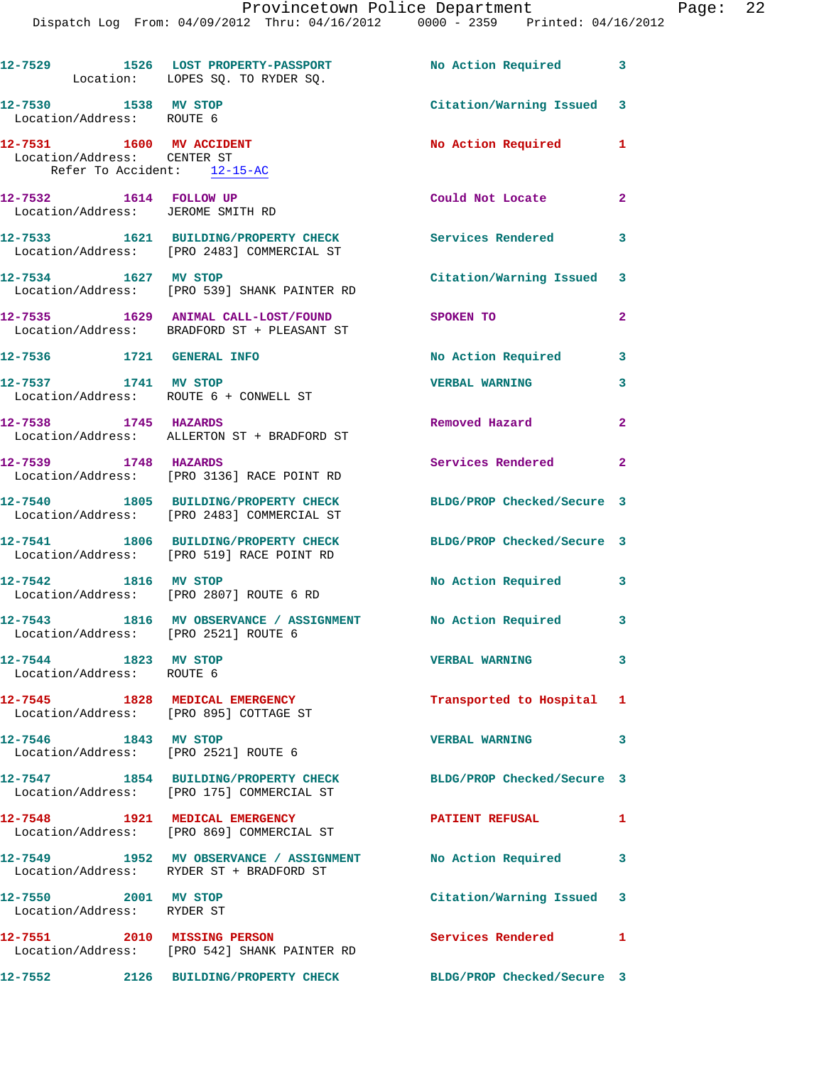Dispatch Log From: 04/09/2012 Thru: 04/16/2012 0000 - 2359 Printed: 04/16/2012

|                                                    | 12-7529 1526 LOST PROPERTY-PASSPORT<br>Location: LOPES SQ. TO RYDER SQ.                                      | No Action Required 3       |                |
|----------------------------------------------------|--------------------------------------------------------------------------------------------------------------|----------------------------|----------------|
| 12-7530 1538 MV STOP<br>Location/Address: ROUTE 6  |                                                                                                              | Citation/Warning Issued 3  |                |
| Location/Address: CENTER ST                        | 12-7531 1600 MV ACCIDENT                                                                                     | No Action Required 1       |                |
|                                                    | Refer To Accident: 12-15-AC                                                                                  |                            |                |
|                                                    | 12-7532 1614 FOLLOW UP<br>Location/Address: JEROME SMITH RD                                                  | Could Not Locate           | $\overline{2}$ |
|                                                    | 12-7533 1621 BUILDING/PROPERTY CHECK<br>Location/Address: [PRO 2483] COMMERCIAL ST                           | Services Rendered          | 3              |
| 12-7534 1627 MV STOP                               | Location/Address: [PRO 539] SHANK PAINTER RD                                                                 | Citation/Warning Issued 3  |                |
|                                                    | 12-7535 1629 ANIMAL CALL-LOST/FOUND<br>Location/Address: BRADFORD ST + PLEASANT ST                           | SPOKEN TO                  | $\mathbf{2}$   |
|                                                    | 12-7536 1721 GENERAL INFO                                                                                    | No Action Required         | 3              |
|                                                    | 12-7537 1741 MV STOP<br>Location/Address: ROUTE 6 + CONWELL ST                                               | <b>VERBAL WARNING</b>      | 3              |
| 12-7538 1745 HAZARDS                               | Location/Address: ALLERTON ST + BRADFORD ST                                                                  | Removed Hazard             | $\overline{2}$ |
| 12-7539 1748 HAZARDS                               | Location/Address: [PRO 3136] RACE POINT RD                                                                   | Services Rendered          | $\mathbf{2}$   |
|                                                    | 12-7540 1805 BUILDING/PROPERTY CHECK<br>Location/Address: [PRO 2483] COMMERCIAL ST                           | BLDG/PROP Checked/Secure 3 |                |
|                                                    | 12-7541 1806 BUILDING/PROPERTY CHECK<br>Location/Address: [PRO 519] RACE POINT RD                            | BLDG/PROP Checked/Secure 3 |                |
| 12-7542 1816 MV STOP                               | Location/Address: [PRO 2807] ROUTE 6 RD                                                                      | No Action Required 3       |                |
|                                                    | 12-7543 1816 MV OBSERVANCE / ASSIGNMENT No Action Required 3<br>Location/Address: [PRO 2521] ROUTE 6         |                            |                |
| 12-7544 1823 MV STOP<br>Location/Address: ROUTE 6  |                                                                                                              | <b>VERBAL WARNING</b>      | 3              |
|                                                    | 12-7545 1828 MEDICAL EMERGENCY<br>Location/Address: [PRO 895] COTTAGE ST                                     | Transported to Hospital 1  |                |
| 12-7546 1843 MV STOP                               | Location/Address: [PRO 2521] ROUTE 6                                                                         | <b>VERBAL WARNING</b>      | 3              |
|                                                    | 12-7547 1854 BUILDING/PROPERTY CHECK BLDG/PROP Checked/Secure 3<br>Location/Address: [PRO 175] COMMERCIAL ST |                            |                |
|                                                    | 12-7548 1921 MEDICAL EMERGENCY<br>Location/Address: [PRO 869] COMMERCIAL ST                                  | PATIENT REFUSAL 1          |                |
|                                                    | 12-7549 1952 MV OBSERVANCE / ASSIGNMENT No Action Required<br>Location/Address: RYDER ST + BRADFORD ST       |                            | 3              |
| 12-7550 2001 MV STOP<br>Location/Address: RYDER ST |                                                                                                              | Citation/Warning Issued 3  |                |
|                                                    | 12-7551 2010 MISSING PERSON<br>Location/Address: [PRO 542] SHANK PAINTER RD                                  | Services Rendered          | 1              |
| 12-7552                                            | 2126 BUILDING/PROPERTY CHECK                                                                                 | BLDG/PROP Checked/Secure 3 |                |
|                                                    |                                                                                                              |                            |                |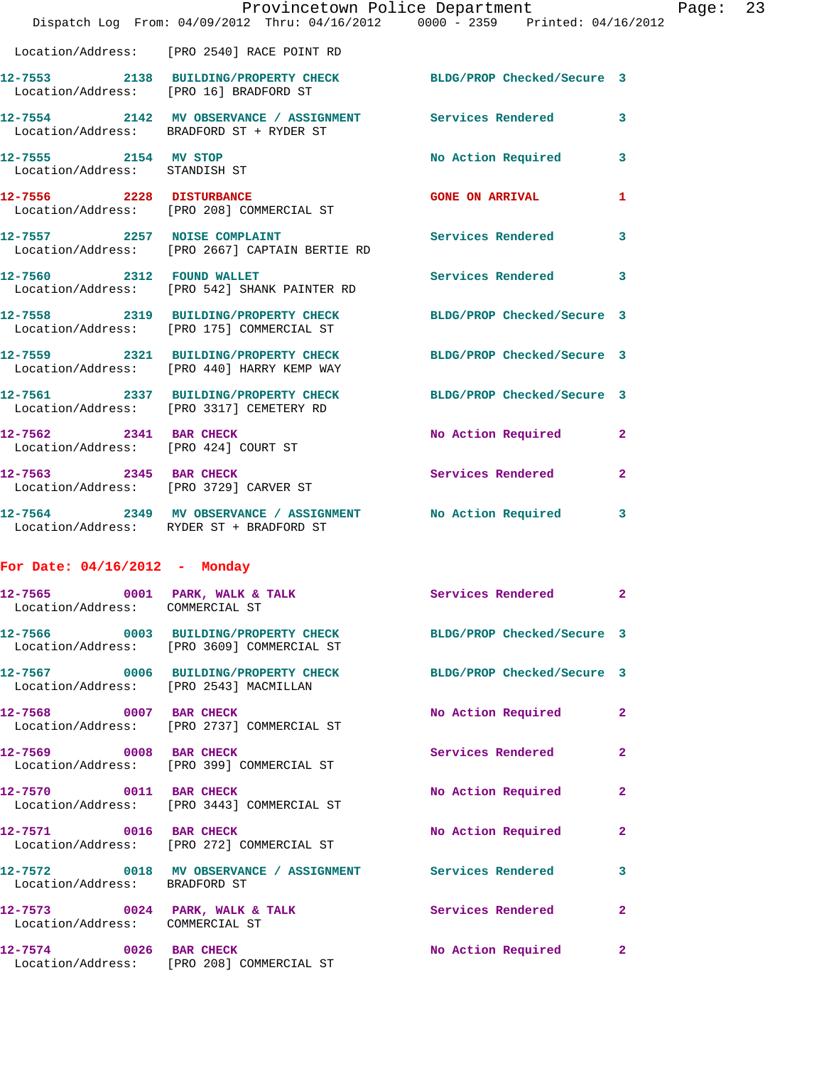|                                                       | Dispatch Log From: 04/09/2012 Thru: 04/16/2012 0000 - 2359 Printed: 04/16/2012                                | Provincetown Police Department Page: 23 |              |  |
|-------------------------------------------------------|---------------------------------------------------------------------------------------------------------------|-----------------------------------------|--------------|--|
|                                                       | Location/Address: [PRO 2540] RACE POINT RD                                                                    |                                         |              |  |
| Location/Address: [PRO 16] BRADFORD ST                | 12-7553 2138 BUILDING/PROPERTY CHECK BLDG/PROP Checked/Secure 3                                               |                                         |              |  |
|                                                       | 12-7554 2142 MV OBSERVANCE / ASSIGNMENT Services Rendered<br>Location/Address: BRADFORD ST + RYDER ST         |                                         | 3            |  |
| 12-7555 2154 MV STOP<br>Location/Address: STANDISH ST |                                                                                                               | No Action Required 3                    |              |  |
|                                                       | 12-7556 2228 DISTURBANCE<br>Location/Address: [PRO 208] COMMERCIAL ST                                         | <b>GONE ON ARRIVAL</b>                  | 1            |  |
| 12-7557 2257 NOISE COMPLAINT                          | Location/Address: [PRO 2667] CAPTAIN BERTIE RD                                                                | Services Rendered                       | $\mathbf{3}$ |  |
|                                                       | 12-7560 2312 FOUND WALLET<br>Location/Address: [PRO 542] SHANK PAINTER RD                                     | <b>Services Rendered</b>                | 3            |  |
|                                                       | 12-7558 2319 BUILDING/PROPERTY CHECK<br>Location/Address: [PRO 175] COMMERCIAL ST                             | BLDG/PROP Checked/Secure 3              |              |  |
|                                                       | 12-7559 2321 BUILDING/PROPERTY CHECK<br>Location/Address: [PRO 440] HARRY KEMP WAY                            | BLDG/PROP Checked/Secure 3              |              |  |
|                                                       | 12-7561 2337 BUILDING/PROPERTY CHECK BLDG/PROP Checked/Secure 3<br>Location/Address: [PRO 3317] CEMETERY RD   |                                         |              |  |
| 12-7562 2341 BAR CHECK                                | Location/Address: [PRO 424] COURT ST                                                                          | No Action Required                      | $\mathbf{2}$ |  |
| Location/Address: [PRO 3729] CARVER ST                | 12-7563 2345 BAR CHECK                                                                                        | Services Rendered                       | $\mathbf{2}$ |  |
|                                                       | 12-7564 2349 MV OBSERVANCE / ASSIGNMENT No Action Required 3<br>Location/Address: RYDER ST + BRADFORD ST      |                                         |              |  |
| For Date: $04/16/2012$ - Monday                       |                                                                                                               |                                         |              |  |
| Location/Address: COMMERCIAL ST                       | 12-7565 0001 PARK, WALK & TALK 3 Services Rendered 2                                                          |                                         |              |  |
|                                                       | 12-7566 0003 BUILDING/PROPERTY CHECK BLDG/PROP Checked/Secure 3<br>Location/Address: [PRO 3609] COMMERCIAL ST |                                         |              |  |
|                                                       | 12-7567 0006 BUILDING/PROPERTY CHECK BLDG/PROP Checked/Secure 3<br>Location/Address: [PRO 2543] MACMILLAN     |                                         |              |  |
|                                                       | 12-7568 0007 BAR CHECK<br>Location/Address: [PRO 2737] COMMERCIAL ST                                          | No Action Required                      | $\mathbf{2}$ |  |
|                                                       | 12-7569 0008 BAR CHECK<br>Location/Address: [PRO 399] COMMERCIAL ST                                           | Services Rendered                       | $\mathbf{2}$ |  |
| 12-7570 0011 BAR CHECK                                | Location/Address: [PRO 3443] COMMERCIAL ST                                                                    | No Action Required                      | 2            |  |
|                                                       | 12-7571 0016 BAR CHECK<br>Location/Address: [PRO 272] COMMERCIAL ST                                           | No Action Required                      | $\mathbf{2}$ |  |
| Location/Address: BRADFORD ST                         | 12-7572 0018 MV OBSERVANCE / ASSIGNMENT Services Rendered                                                     |                                         | 3            |  |
| Location/Address: COMMERCIAL ST                       | 12-7573 0024 PARK, WALK & TALK Services Rendered                                                              |                                         | $\mathbf{2}$ |  |
|                                                       | 12-7574 0026 BAR CHECK<br>Location/Address: [PRO 208] COMMERCIAL ST                                           | No Action Required                      | 2            |  |